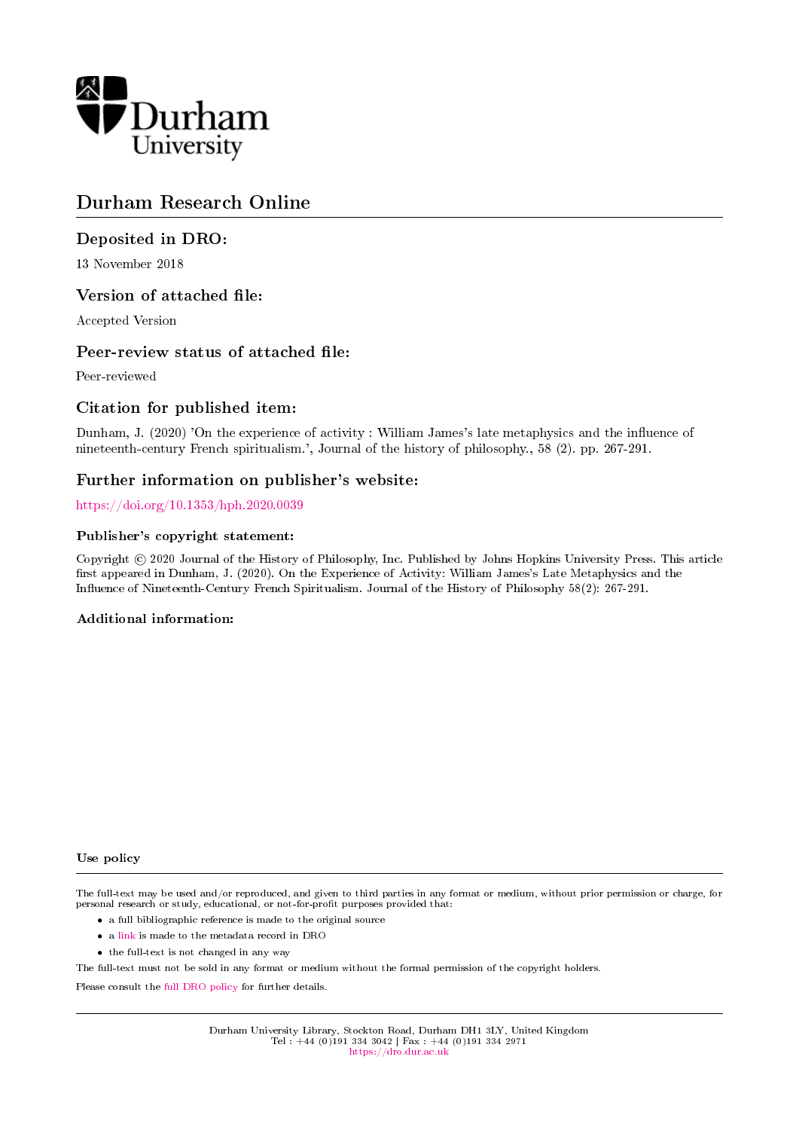

# Durham Research Online

# Deposited in DRO:

13 November 2018

# Version of attached file:

Accepted Version

# Peer-review status of attached file:

Peer-reviewed

# Citation for published item:

Dunham, J. (2020) 'On the experience of activity : William James's late metaphysics and the influence of nineteenth-century French spiritualism.', Journal of the history of philosophy., 58 (2). pp. 267-291.

# Further information on publisher's website:

<https://doi.org/10.1353/hph.2020.0039>

#### Publisher's copyright statement:

Copyright © 2020 Journal of the History of Philosophy, Inc. Published by Johns Hopkins University Press. This article first appeared in Dunham, J. (2020). On the Experience of Activity: William James's Late Metaphysics and the Influence of Nineteenth-Century French Spiritualism. Journal of the History of Philosophy 58(2): 267-291.

#### Additional information:

#### Use policy

The full-text may be used and/or reproduced, and given to third parties in any format or medium, without prior permission or charge, for personal research or study, educational, or not-for-profit purposes provided that:

- a full bibliographic reference is made to the original source
- a [link](http://dro.dur.ac.uk/26780/) is made to the metadata record in DRO
- the full-text is not changed in any way

The full-text must not be sold in any format or medium without the formal permission of the copyright holders.

Please consult the [full DRO policy](https://dro.dur.ac.uk/policies/usepolicy.pdf) for further details.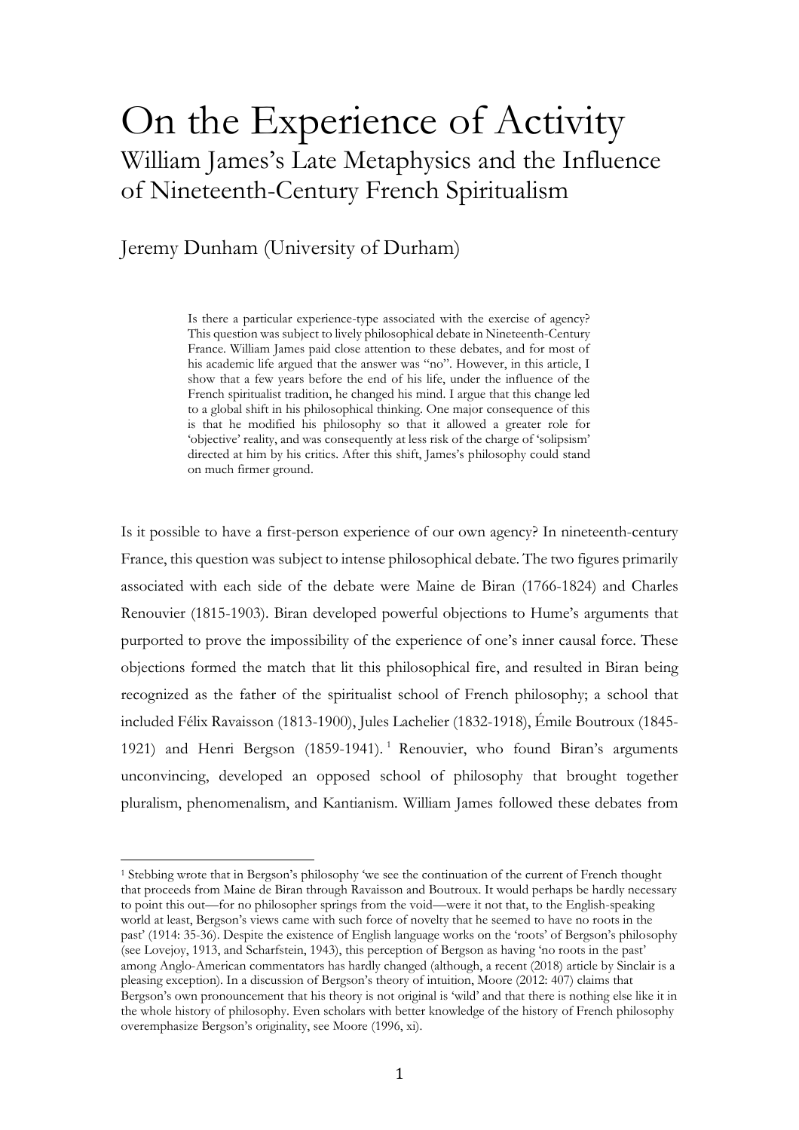# On the Experience of Activity William James's Late Metaphysics and the Influence of Nineteenth-Century French Spiritualism

# Jeremy Dunham (University of Durham)

Is there a particular experience-type associated with the exercise of agency? This question was subject to lively philosophical debate in Nineteenth-Century France. William James paid close attention to these debates, and for most of his academic life argued that the answer was "no". However, in this article, I show that a few years before the end of his life, under the influence of the French spiritualist tradition, he changed his mind. I argue that this change led to a global shift in his philosophical thinking. One major consequence of this is that he modified his philosophy so that it allowed a greater role for 'objective' reality, and was consequently at less risk of the charge of 'solipsism' directed at him by his critics. After this shift, James's philosophy could stand on much firmer ground.

Is it possible to have a first-person experience of our own agency? In nineteenth-century France, this question was subject to intense philosophical debate. The two figures primarily associated with each side of the debate were Maine de Biran (1766-1824) and Charles Renouvier (1815-1903). Biran developed powerful objections to Hume's arguments that purported to prove the impossibility of the experience of one's inner causal force. These objections formed the match that lit this philosophical fire, and resulted in Biran being recognized as the father of the spiritualist school of French philosophy; a school that included Félix Ravaisson (1813-1900), Jules Lachelier (1832-1918), Émile Boutroux (1845- 1921) and Henri Bergson (1859-1941). <sup>1</sup> Renouvier, who found Biran's arguments unconvincing, developed an opposed school of philosophy that brought together pluralism, phenomenalism, and Kantianism. William James followed these debates from

 $\overline{a}$ <sup>1</sup> Stebbing wrote that in Bergson's philosophy 'we see the continuation of the current of French thought that proceeds from Maine de Biran through Ravaisson and Boutroux. It would perhaps be hardly necessary to point this out—for no philosopher springs from the void—were it not that, to the English-speaking world at least, Bergson's views came with such force of novelty that he seemed to have no roots in the past' (1914: 35-36). Despite the existence of English language works on the 'roots' of Bergson's philosophy (see Lovejoy, 1913, and Scharfstein, 1943), this perception of Bergson as having 'no roots in the past' among Anglo-American commentators has hardly changed (although, a recent (2018) article by Sinclair is a pleasing exception). In a discussion of Bergson's theory of intuition, Moore (2012: 407) claims that Bergson's own pronouncement that his theory is not original is 'wild' and that there is nothing else like it in the whole history of philosophy. Even scholars with better knowledge of the history of French philosophy overemphasize Bergson's originality, see Moore (1996, xi).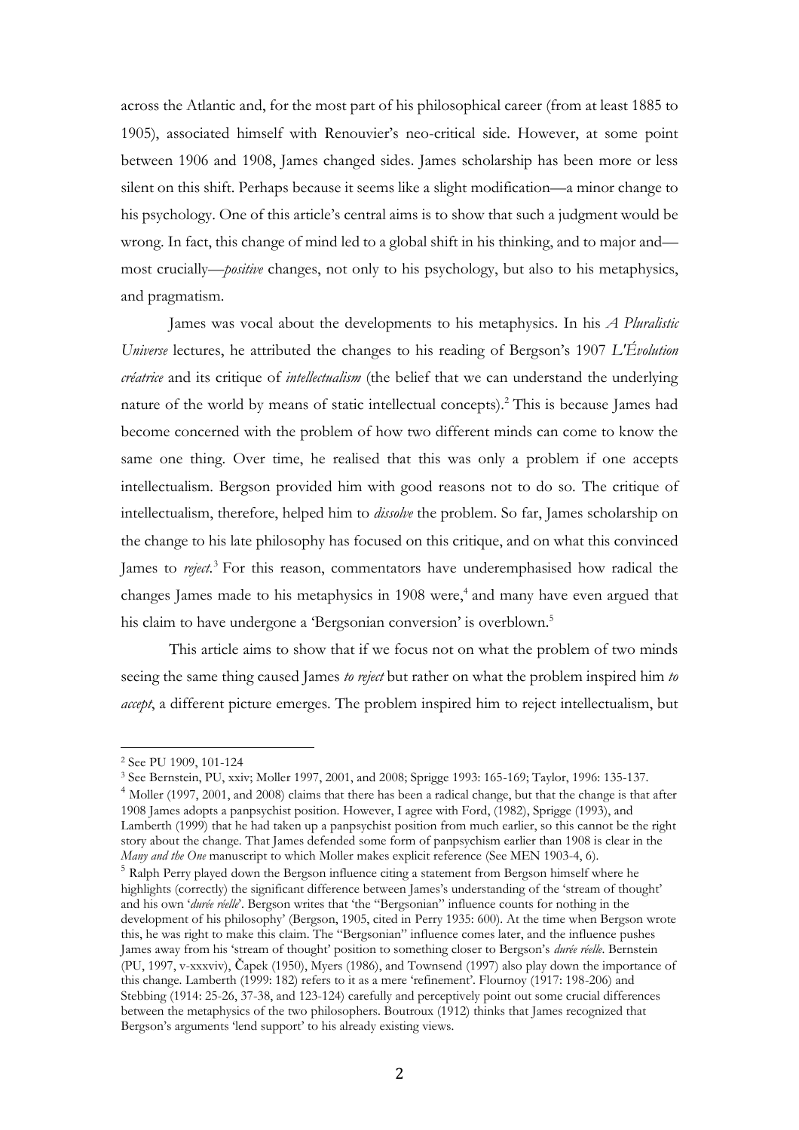across the Atlantic and, for the most part of his philosophical career (from at least 1885 to 1905), associated himself with Renouvier's neo-critical side. However, at some point between 1906 and 1908, James changed sides. James scholarship has been more or less silent on this shift. Perhaps because it seems like a slight modification—a minor change to his psychology. One of this article's central aims is to show that such a judgment would be wrong. In fact, this change of mind led to a global shift in his thinking, and to major and most crucially—*positive* changes, not only to his psychology, but also to his metaphysics, and pragmatism.

James was vocal about the developments to his metaphysics. In his *A Pluralistic Universe* lectures, he attributed the changes to his reading of Bergson's 1907 *L'Évolution créatrice* and its critique of *intellectualism* (the belief that we can understand the underlying nature of the world by means of static intellectual concepts).<sup>2</sup> This is because James had become concerned with the problem of how two different minds can come to know the same one thing. Over time, he realised that this was only a problem if one accepts intellectualism. Bergson provided him with good reasons not to do so. The critique of intellectualism, therefore, helped him to *dissolve* the problem. So far, James scholarship on the change to his late philosophy has focused on this critique, and on what this convinced James to *reject*. <sup>3</sup> For this reason, commentators have underemphasised how radical the changes James made to his metaphysics in 1908 were, 4 and many have even argued that his claim to have undergone a 'Bergsonian conversion' is overblown.<sup>5</sup>

This article aims to show that if we focus not on what the problem of two minds seeing the same thing caused James *to reject* but rather on what the problem inspired him *to accept*, a different picture emerges. The problem inspired him to reject intellectualism, but

 $\overline{a}$ 

<sup>2</sup> See PU 1909, 101-124

<sup>3</sup> See Bernstein, PU, xxiv; Moller 1997, 2001, and 2008; Sprigge 1993: 165-169; Taylor, 1996: 135-137.

<sup>4</sup> Moller (1997, 2001, and 2008) claims that there has been a radical change, but that the change is that after 1908 James adopts a panpsychist position. However, I agree with Ford, (1982), Sprigge (1993), and Lamberth (1999) that he had taken up a panpsychist position from much earlier, so this cannot be the right story about the change. That James defended some form of panpsychism earlier than 1908 is clear in the *Many and the One* manuscript to which Moller makes explicit reference (See MEN 1903-4, 6).

<sup>5</sup> Ralph Perry played down the Bergson influence citing a statement from Bergson himself where he highlights (correctly) the significant difference between James's understanding of the 'stream of thought' and his own '*durée réelle*'. Bergson writes that 'the "Bergsonian" influence counts for nothing in the development of his philosophy' (Bergson, 1905, cited in Perry 1935: 600). At the time when Bergson wrote this, he was right to make this claim. The "Bergsonian" influence comes later, and the influence pushes James away from his 'stream of thought' position to something closer to Bergson's *durée réelle*. Bernstein (PU, 1997, v-xxxviv), Čapek (1950), Myers (1986), and Townsend (1997) also play down the importance of this change. Lamberth (1999: 182) refers to it as a mere 'refinement'. Flournoy (1917: 198-206) and Stebbing (1914: 25-26, 37-38, and 123-124) carefully and perceptively point out some crucial differences between the metaphysics of the two philosophers. Boutroux (1912) thinks that James recognized that Bergson's arguments 'lend support' to his already existing views.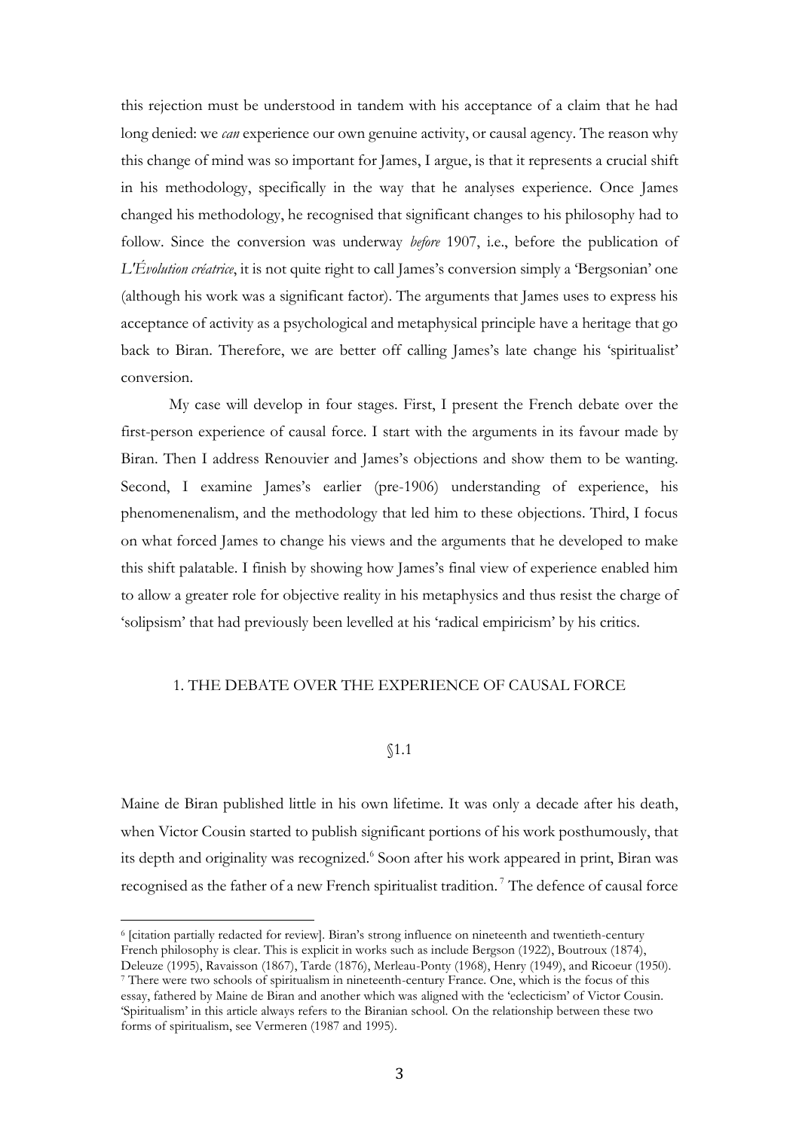this rejection must be understood in tandem with his acceptance of a claim that he had long denied: we *can* experience our own genuine activity, or causal agency. The reason why this change of mind was so important for James, I argue, is that it represents a crucial shift in his methodology, specifically in the way that he analyses experience. Once James changed his methodology, he recognised that significant changes to his philosophy had to follow. Since the conversion was underway *before* 1907, i.e., before the publication of *L'Évolution créatrice*, it is not quite right to call James's conversion simply a 'Bergsonian' one (although his work was a significant factor). The arguments that James uses to express his acceptance of activity as a psychological and metaphysical principle have a heritage that go back to Biran. Therefore, we are better off calling James's late change his 'spiritualist' conversion.

My case will develop in four stages. First, I present the French debate over the first-person experience of causal force. I start with the arguments in its favour made by Biran. Then I address Renouvier and James's objections and show them to be wanting. Second, I examine James's earlier (pre-1906) understanding of experience, his phenomenenalism, and the methodology that led him to these objections. Third, I focus on what forced James to change his views and the arguments that he developed to make this shift palatable. I finish by showing how James's final view of experience enabled him to allow a greater role for objective reality in his metaphysics and thus resist the charge of 'solipsism' that had previously been levelled at his 'radical empiricism' by his critics.

#### 1. THE DEBATE OVER THE EXPERIENCE OF CAUSAL FORCE

#### §1.1

Maine de Biran published little in his own lifetime. It was only a decade after his death, when Victor Cousin started to publish significant portions of his work posthumously, that its depth and originality was recognized.<sup>6</sup> Soon after his work appeared in print, Biran was recognised as the father of a new French spiritualist tradition. <sup>7</sup> The defence of causal force

<sup>6</sup> [citation partially redacted for review]. Biran's strong influence on nineteenth and twentieth-century French philosophy is clear. This is explicit in works such as include Bergson (1922), Boutroux (1874),

Deleuze (1995), Ravaisson (1867), Tarde (1876), Merleau-Ponty (1968), Henry (1949), and Ricoeur (1950). <sup>7</sup> There were two schools of spiritualism in nineteenth-century France. One, which is the focus of this essay, fathered by Maine de Biran and another which was aligned with the 'eclecticism' of Victor Cousin. 'Spiritualism' in this article always refers to the Biranian school. On the relationship between these two forms of spiritualism, see Vermeren (1987 and 1995).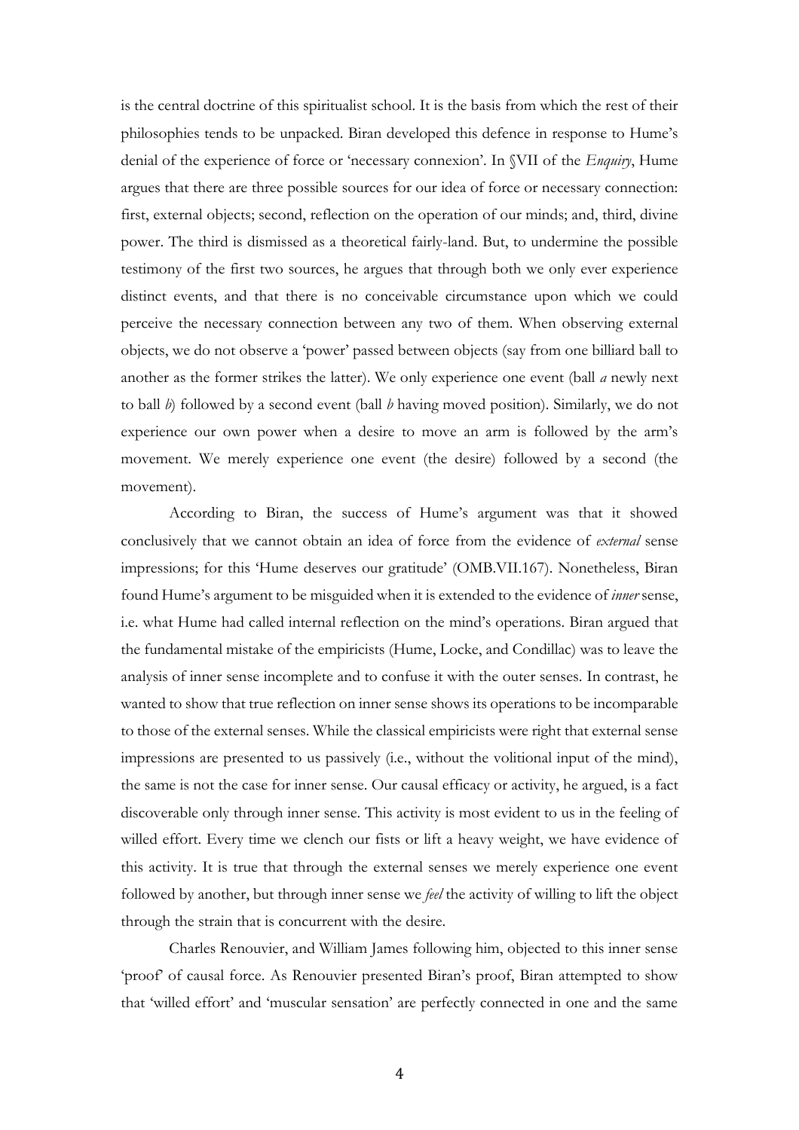is the central doctrine of this spiritualist school. It is the basis from which the rest of their philosophies tends to be unpacked. Biran developed this defence in response to Hume's denial of the experience of force or 'necessary connexion'. In §VII of the *Enquiry*, Hume argues that there are three possible sources for our idea of force or necessary connection: first, external objects; second, reflection on the operation of our minds; and, third, divine power. The third is dismissed as a theoretical fairly-land. But, to undermine the possible testimony of the first two sources, he argues that through both we only ever experience distinct events, and that there is no conceivable circumstance upon which we could perceive the necessary connection between any two of them. When observing external objects, we do not observe a 'power' passed between objects (say from one billiard ball to another as the former strikes the latter). We only experience one event (ball *a* newly next to ball *b*) followed by a second event (ball *b* having moved position). Similarly, we do not experience our own power when a desire to move an arm is followed by the arm's movement. We merely experience one event (the desire) followed by a second (the movement).

According to Biran, the success of Hume's argument was that it showed conclusively that we cannot obtain an idea of force from the evidence of *external* sense impressions; for this 'Hume deserves our gratitude' (OMB.VII.167). Nonetheless, Biran found Hume's argument to be misguided when it is extended to the evidence of *inner* sense, i.e. what Hume had called internal reflection on the mind's operations. Biran argued that the fundamental mistake of the empiricists (Hume, Locke, and Condillac) was to leave the analysis of inner sense incomplete and to confuse it with the outer senses. In contrast, he wanted to show that true reflection on inner sense shows its operations to be incomparable to those of the external senses. While the classical empiricists were right that external sense impressions are presented to us passively (i.e., without the volitional input of the mind), the same is not the case for inner sense. Our causal efficacy or activity, he argued, is a fact discoverable only through inner sense. This activity is most evident to us in the feeling of willed effort. Every time we clench our fists or lift a heavy weight, we have evidence of this activity. It is true that through the external senses we merely experience one event followed by another, but through inner sense we *feel* the activity of willing to lift the object through the strain that is concurrent with the desire.

Charles Renouvier, and William James following him, objected to this inner sense 'proof' of causal force. As Renouvier presented Biran's proof, Biran attempted to show that 'willed effort' and 'muscular sensation' are perfectly connected in one and the same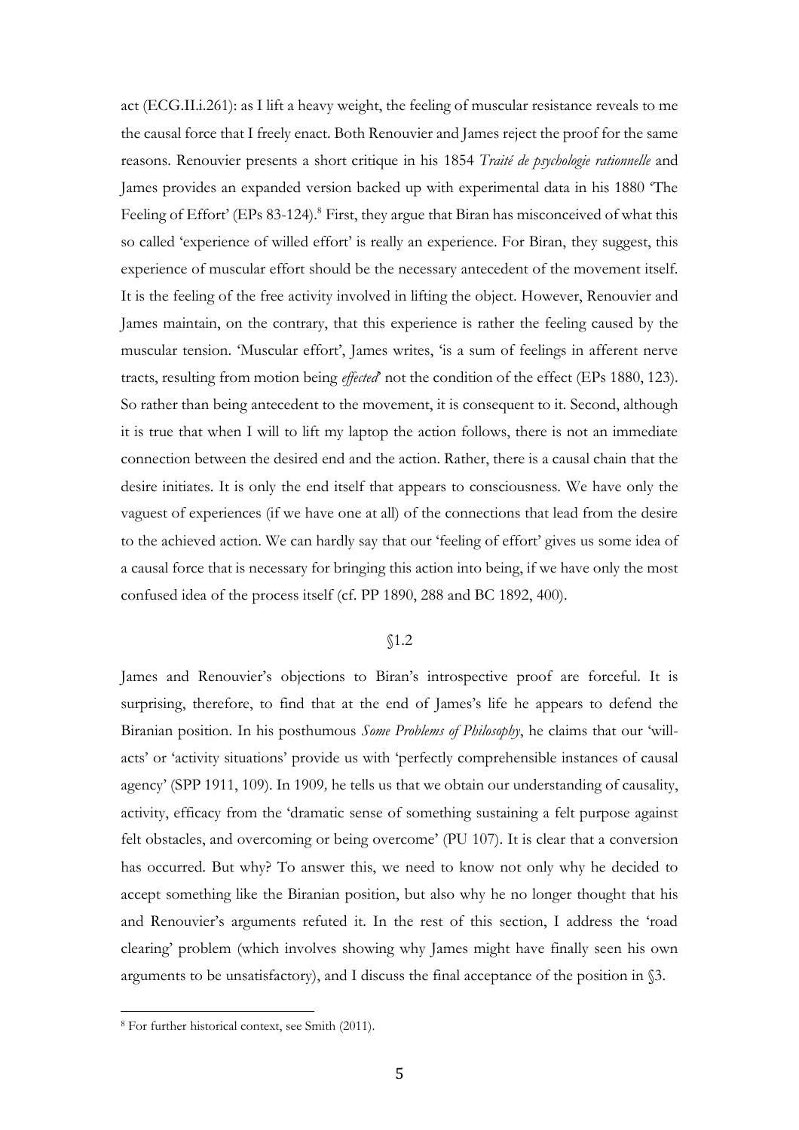act (ECG.II.i.261): as I lift a heavy weight, the feeling of muscular resistance reveals to me the causal force that I freely enact. Both Renouvier and James reject the proof for the same reasons. Renouvier presents a short critique in his 1854 *Traité de psychologie rationnelle* and James provides an expanded version backed up with experimental data in his 1880 'The Feeling of Effort' (EPs 83-124).<sup>8</sup> First, they argue that Biran has misconceived of what this so called 'experience of willed effort' is really an experience. For Biran, they suggest, this experience of muscular effort should be the necessary antecedent of the movement itself. It is the feeling of the free activity involved in lifting the object. However, Renouvier and James maintain, on the contrary, that this experience is rather the feeling caused by the muscular tension. 'Muscular effort', James writes, 'is a sum of feelings in afferent nerve tracts, resulting from motion being *effected*' not the condition of the effect (EPs 1880, 123). So rather than being antecedent to the movement, it is consequent to it. Second, although it is true that when I will to lift my laptop the action follows, there is not an immediate connection between the desired end and the action. Rather, there is a causal chain that the desire initiates. It is only the end itself that appears to consciousness. We have only the vaguest of experiences (if we have one at all) of the connections that lead from the desire to the achieved action. We can hardly say that our 'feeling of effort' gives us some idea of a causal force that is necessary for bringing this action into being, if we have only the most confused idea of the process itself (cf. PP 1890, 288 and BC 1892, 400).

#### §1.2

James and Renouvier's objections to Biran's introspective proof are forceful. It is surprising, therefore, to find that at the end of James's life he appears to defend the Biranian position. In his posthumous *Some Problems of Philosophy*, he claims that our 'willacts' or 'activity situations' provide us with 'perfectly comprehensible instances of causal agency' (SPP 1911, 109). In 1909*,* he tells us that we obtain our understanding of causality, activity, efficacy from the 'dramatic sense of something sustaining a felt purpose against felt obstacles, and overcoming or being overcome' (PU 107). It is clear that a conversion has occurred. But why? To answer this, we need to know not only why he decided to accept something like the Biranian position, but also why he no longer thought that his and Renouvier's arguments refuted it. In the rest of this section, I address the 'road clearing' problem (which involves showing why James might have finally seen his own arguments to be unsatisfactory), and I discuss the final acceptance of the position in §3.

<sup>8</sup> For further historical context, see Smith (2011).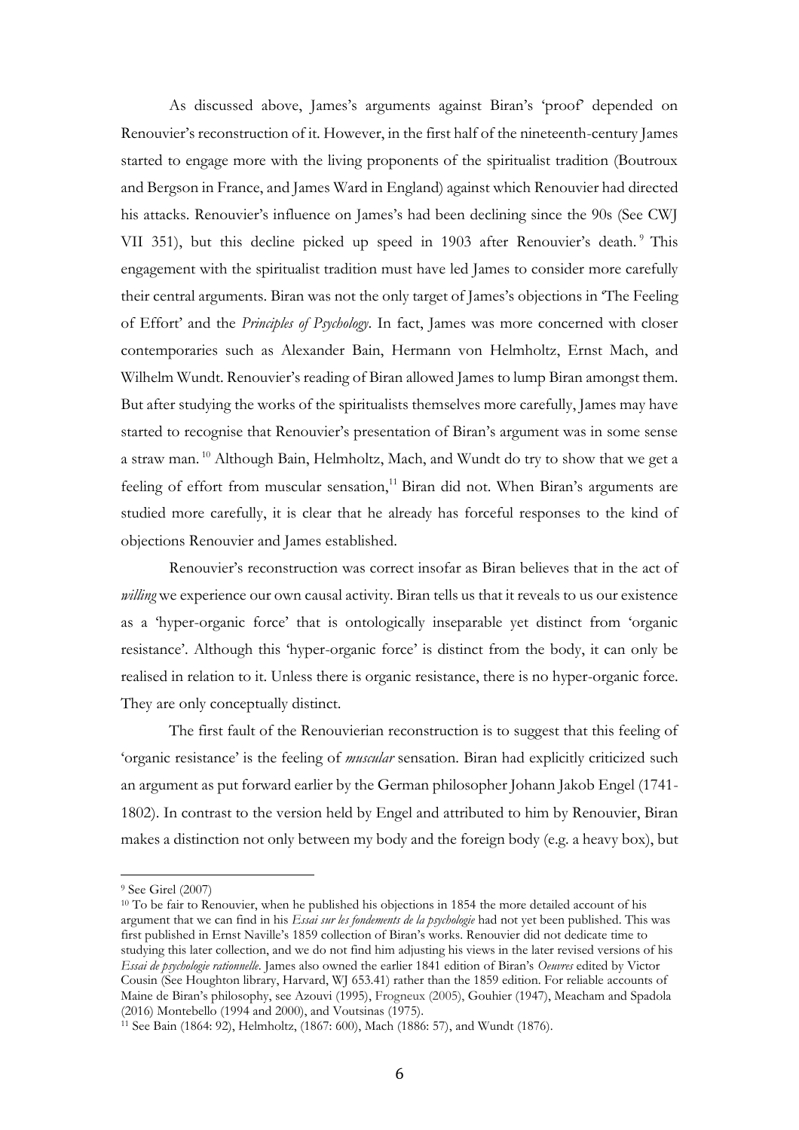As discussed above, James's arguments against Biran's 'proof' depended on Renouvier's reconstruction of it. However, in the first half of the nineteenth-century James started to engage more with the living proponents of the spiritualist tradition (Boutroux and Bergson in France, and James Ward in England) against which Renouvier had directed his attacks. Renouvier's influence on James's had been declining since the 90s (See CWJ VII 351), but this decline picked up speed in 1903 after Renouvier's death.<sup>9</sup> This engagement with the spiritualist tradition must have led James to consider more carefully their central arguments. Biran was not the only target of James's objections in 'The Feeling of Effort' and the *Principles of Psychology*. In fact, James was more concerned with closer contemporaries such as Alexander Bain, Hermann von Helmholtz, Ernst Mach, and Wilhelm Wundt. Renouvier's reading of Biran allowed James to lump Biran amongst them. But after studying the works of the spiritualists themselves more carefully, James may have started to recognise that Renouvier's presentation of Biran's argument was in some sense a straw man. <sup>10</sup> Although Bain, Helmholtz, Mach, and Wundt do try to show that we get a feeling of effort from muscular sensation,<sup>11</sup> Biran did not. When Biran's arguments are studied more carefully, it is clear that he already has forceful responses to the kind of objections Renouvier and James established.

Renouvier's reconstruction was correct insofar as Biran believes that in the act of *willing* we experience our own causal activity. Biran tells us that it reveals to us our existence as a 'hyper-organic force' that is ontologically inseparable yet distinct from 'organic resistance'. Although this 'hyper-organic force' is distinct from the body, it can only be realised in relation to it. Unless there is organic resistance, there is no hyper-organic force. They are only conceptually distinct.

The first fault of the Renouvierian reconstruction is to suggest that this feeling of 'organic resistance' is the feeling of *muscular* sensation. Biran had explicitly criticized such an argument as put forward earlier by the German philosopher Johann Jakob Engel (1741- 1802). In contrast to the version held by Engel and attributed to him by Renouvier, Biran makes a distinction not only between my body and the foreign body (e.g. a heavy box), but

<sup>9</sup> See Girel (2007)

<sup>&</sup>lt;sup>10</sup> To be fair to Renouvier, when he published his objections in 1854 the more detailed account of his argument that we can find in his *Essai sur les fondements de la psychologie* had not yet been published. This was first published in Ernst Naville's 1859 collection of Biran's works. Renouvier did not dedicate time to studying this later collection, and we do not find him adjusting his views in the later revised versions of his *Essai de psychologie rationnelle*. James also owned the earlier 1841 edition of Biran's *Oeuvres* edited by Victor Cousin (See Houghton library, Harvard, WJ 653.41) rather than the 1859 edition. For reliable accounts of Maine de Biran's philosophy, see Azouvi (1995), Frogneux (2005), Gouhier (1947), Meacham and Spadola (2016) Montebello (1994 and 2000), and Voutsinas (1975).

<sup>11</sup> See Bain (1864: 92), Helmholtz, (1867: 600), Mach (1886: 57), and Wundt (1876).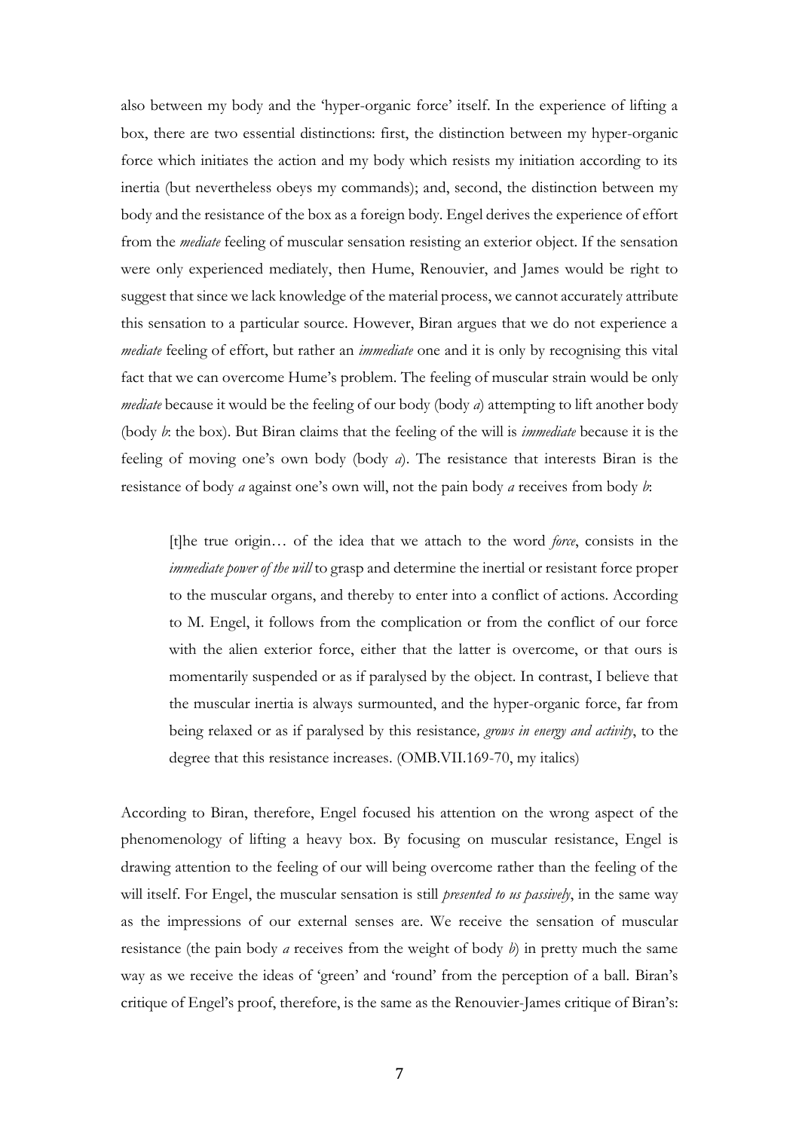also between my body and the 'hyper-organic force' itself. In the experience of lifting a box, there are two essential distinctions: first, the distinction between my hyper-organic force which initiates the action and my body which resists my initiation according to its inertia (but nevertheless obeys my commands); and, second, the distinction between my body and the resistance of the box as a foreign body. Engel derives the experience of effort from the *mediate* feeling of muscular sensation resisting an exterior object. If the sensation were only experienced mediately, then Hume, Renouvier, and James would be right to suggest that since we lack knowledge of the material process, we cannot accurately attribute this sensation to a particular source. However, Biran argues that we do not experience a *mediate* feeling of effort, but rather an *immediate* one and it is only by recognising this vital fact that we can overcome Hume's problem. The feeling of muscular strain would be only *mediate* because it would be the feeling of our body (body *a*) attempting to lift another body (body *b*: the box). But Biran claims that the feeling of the will is *immediate* because it is the feeling of moving one's own body (body *a*). The resistance that interests Biran is the resistance of body *a* against one's own will, not the pain body *a* receives from body *b*:

[t]he true origin… of the idea that we attach to the word *force*, consists in the *immediate power of the will* to grasp and determine the inertial or resistant force proper to the muscular organs, and thereby to enter into a conflict of actions. According to M. Engel, it follows from the complication or from the conflict of our force with the alien exterior force, either that the latter is overcome, or that ours is momentarily suspended or as if paralysed by the object. In contrast, I believe that the muscular inertia is always surmounted, and the hyper-organic force, far from being relaxed or as if paralysed by this resistance*, grows in energy and activity*, to the degree that this resistance increases. (OMB.VII.169-70, my italics)

According to Biran, therefore, Engel focused his attention on the wrong aspect of the phenomenology of lifting a heavy box. By focusing on muscular resistance, Engel is drawing attention to the feeling of our will being overcome rather than the feeling of the will itself. For Engel, the muscular sensation is still *presented to us passively*, in the same way as the impressions of our external senses are. We receive the sensation of muscular resistance (the pain body *a* receives from the weight of body  $\hat{b}$ ) in pretty much the same way as we receive the ideas of 'green' and 'round' from the perception of a ball. Biran's critique of Engel's proof, therefore, is the same as the Renouvier-James critique of Biran's: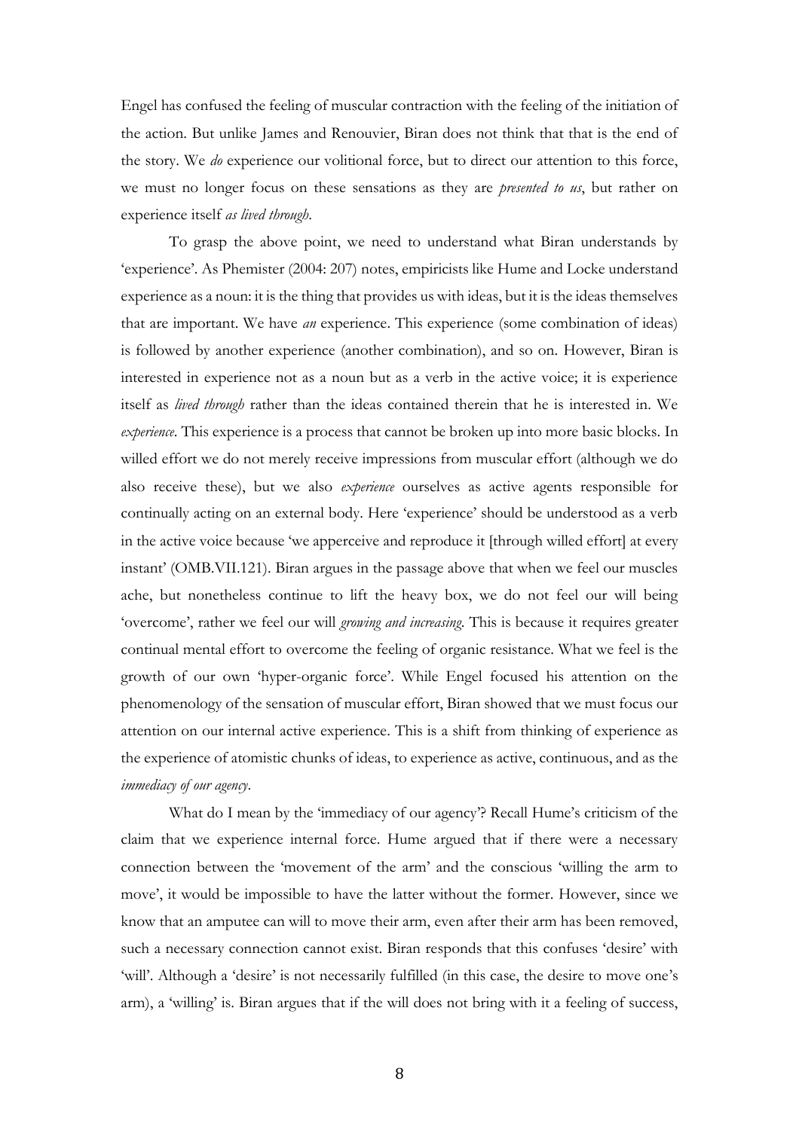Engel has confused the feeling of muscular contraction with the feeling of the initiation of the action. But unlike James and Renouvier, Biran does not think that that is the end of the story. We *do* experience our volitional force, but to direct our attention to this force, we must no longer focus on these sensations as they are *presented to us*, but rather on experience itself *as lived through*.

To grasp the above point, we need to understand what Biran understands by 'experience'. As Phemister (2004: 207) notes, empiricists like Hume and Locke understand experience as a noun: it is the thing that provides us with ideas, but it is the ideas themselves that are important. We have *an* experience. This experience (some combination of ideas) is followed by another experience (another combination), and so on. However, Biran is interested in experience not as a noun but as a verb in the active voice; it is experience itself as *lived through* rather than the ideas contained therein that he is interested in. We *experience*. This experience is a process that cannot be broken up into more basic blocks. In willed effort we do not merely receive impressions from muscular effort (although we do also receive these), but we also *experience* ourselves as active agents responsible for continually acting on an external body. Here 'experience' should be understood as a verb in the active voice because 'we apperceive and reproduce it [through willed effort] at every instant' (OMB.VII.121). Biran argues in the passage above that when we feel our muscles ache, but nonetheless continue to lift the heavy box, we do not feel our will being 'overcome', rather we feel our will *growing and increasing*. This is because it requires greater continual mental effort to overcome the feeling of organic resistance. What we feel is the growth of our own 'hyper-organic force'. While Engel focused his attention on the phenomenology of the sensation of muscular effort, Biran showed that we must focus our attention on our internal active experience. This is a shift from thinking of experience as the experience of atomistic chunks of ideas, to experience as active, continuous, and as the *immediacy of our agency*.

What do I mean by the 'immediacy of our agency'? Recall Hume's criticism of the claim that we experience internal force. Hume argued that if there were a necessary connection between the 'movement of the arm' and the conscious 'willing the arm to move', it would be impossible to have the latter without the former. However, since we know that an amputee can will to move their arm, even after their arm has been removed, such a necessary connection cannot exist. Biran responds that this confuses 'desire' with 'will'. Although a 'desire' is not necessarily fulfilled (in this case, the desire to move one's arm), a 'willing' is. Biran argues that if the will does not bring with it a feeling of success,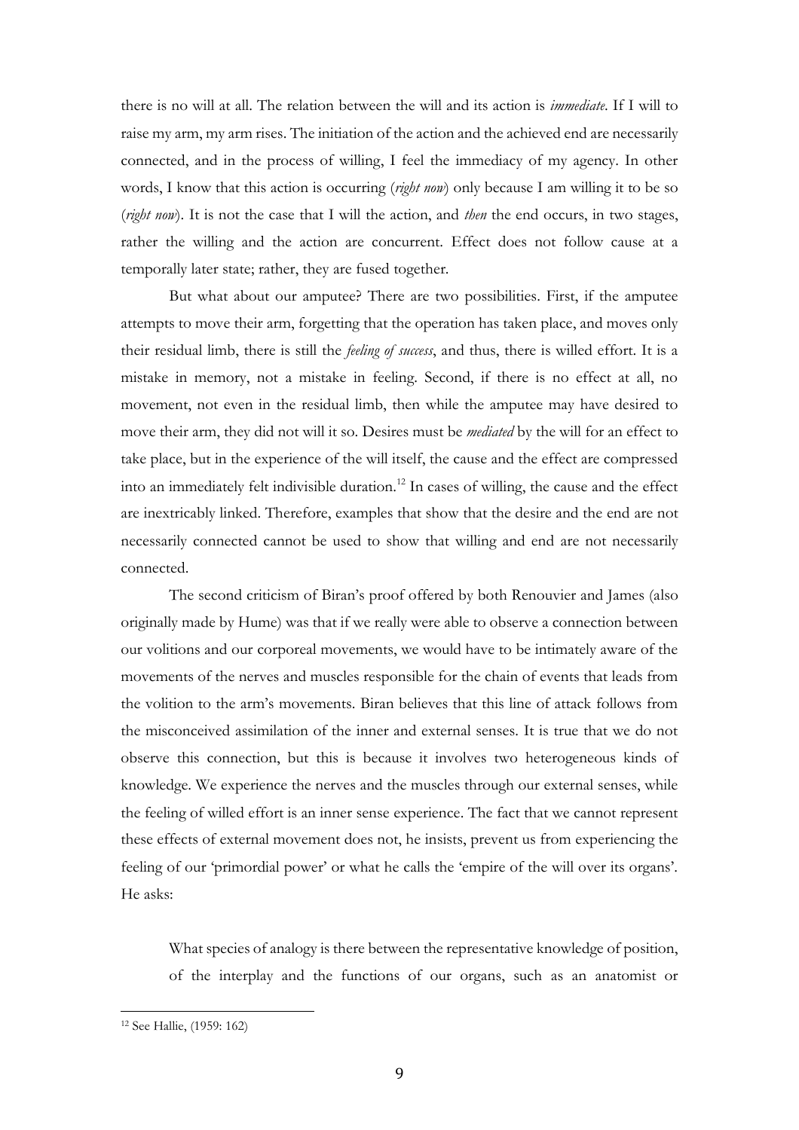there is no will at all. The relation between the will and its action is *immediate*. If I will to raise my arm, my arm rises. The initiation of the action and the achieved end are necessarily connected, and in the process of willing, I feel the immediacy of my agency. In other words, I know that this action is occurring (*right now*) only because I am willing it to be so (*right now*). It is not the case that I will the action, and *then* the end occurs, in two stages, rather the willing and the action are concurrent. Effect does not follow cause at a temporally later state; rather, they are fused together.

But what about our amputee? There are two possibilities. First, if the amputee attempts to move their arm, forgetting that the operation has taken place, and moves only their residual limb, there is still the *feeling of success*, and thus, there is willed effort. It is a mistake in memory, not a mistake in feeling. Second, if there is no effect at all, no movement, not even in the residual limb, then while the amputee may have desired to move their arm, they did not will it so. Desires must be *mediated* by the will for an effect to take place, but in the experience of the will itself, the cause and the effect are compressed into an immediately felt indivisible duration.<sup>12</sup> In cases of willing, the cause and the effect are inextricably linked. Therefore, examples that show that the desire and the end are not necessarily connected cannot be used to show that willing and end are not necessarily connected.

The second criticism of Biran's proof offered by both Renouvier and James (also originally made by Hume) was that if we really were able to observe a connection between our volitions and our corporeal movements, we would have to be intimately aware of the movements of the nerves and muscles responsible for the chain of events that leads from the volition to the arm's movements. Biran believes that this line of attack follows from the misconceived assimilation of the inner and external senses. It is true that we do not observe this connection, but this is because it involves two heterogeneous kinds of knowledge. We experience the nerves and the muscles through our external senses, while the feeling of willed effort is an inner sense experience. The fact that we cannot represent these effects of external movement does not, he insists, prevent us from experiencing the feeling of our 'primordial power' or what he calls the 'empire of the will over its organs'. He asks:

What species of analogy is there between the representative knowledge of position, of the interplay and the functions of our organs, such as an anatomist or

<sup>12</sup> See Hallie, (1959: 162)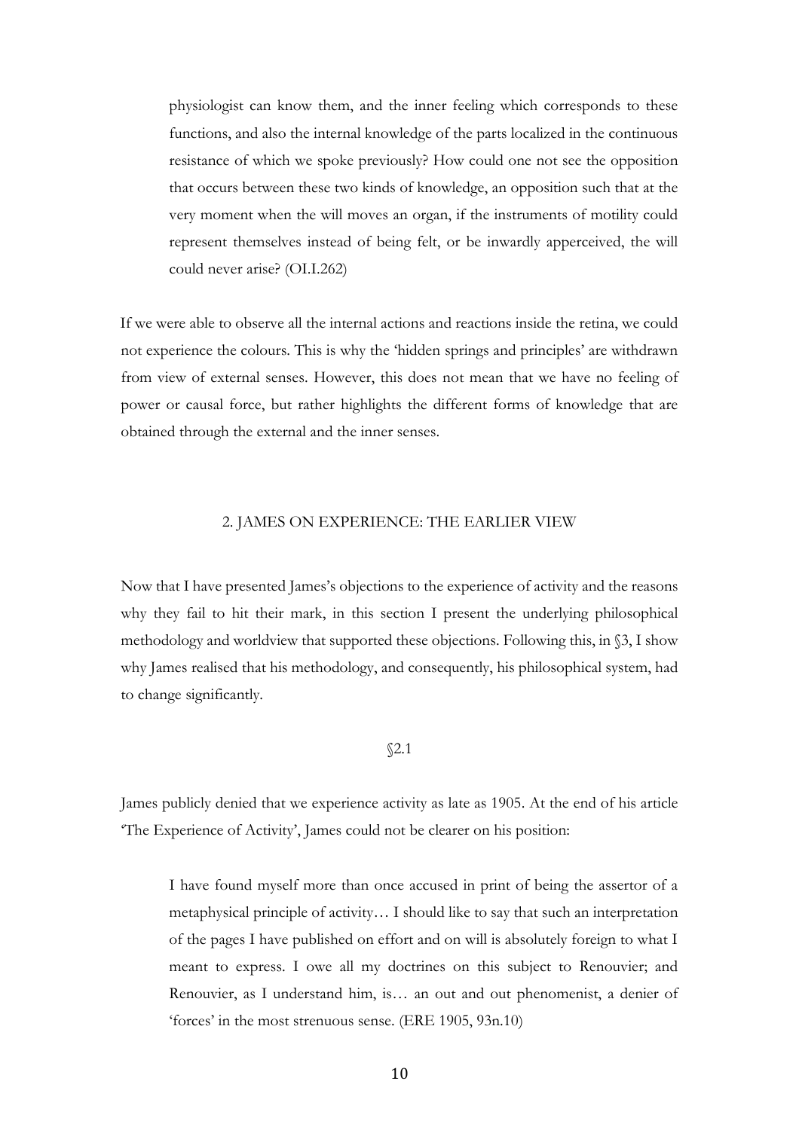physiologist can know them, and the inner feeling which corresponds to these functions, and also the internal knowledge of the parts localized in the continuous resistance of which we spoke previously? How could one not see the opposition that occurs between these two kinds of knowledge, an opposition such that at the very moment when the will moves an organ, if the instruments of motility could represent themselves instead of being felt, or be inwardly apperceived, the will could never arise? (OI.I.262)

If we were able to observe all the internal actions and reactions inside the retina, we could not experience the colours. This is why the 'hidden springs and principles' are withdrawn from view of external senses. However, this does not mean that we have no feeling of power or causal force, but rather highlights the different forms of knowledge that are obtained through the external and the inner senses.

#### 2. JAMES ON EXPERIENCE: THE EARLIER VIEW

Now that I have presented James's objections to the experience of activity and the reasons why they fail to hit their mark, in this section I present the underlying philosophical methodology and worldview that supported these objections. Following this, in §3, I show why James realised that his methodology, and consequently, his philosophical system, had to change significantly.

#### §2.1

James publicly denied that we experience activity as late as 1905. At the end of his article 'The Experience of Activity', James could not be clearer on his position:

I have found myself more than once accused in print of being the assertor of a metaphysical principle of activity… I should like to say that such an interpretation of the pages I have published on effort and on will is absolutely foreign to what I meant to express. I owe all my doctrines on this subject to Renouvier; and Renouvier, as I understand him, is… an out and out phenomenist, a denier of 'forces' in the most strenuous sense. (ERE 1905, 93n.10)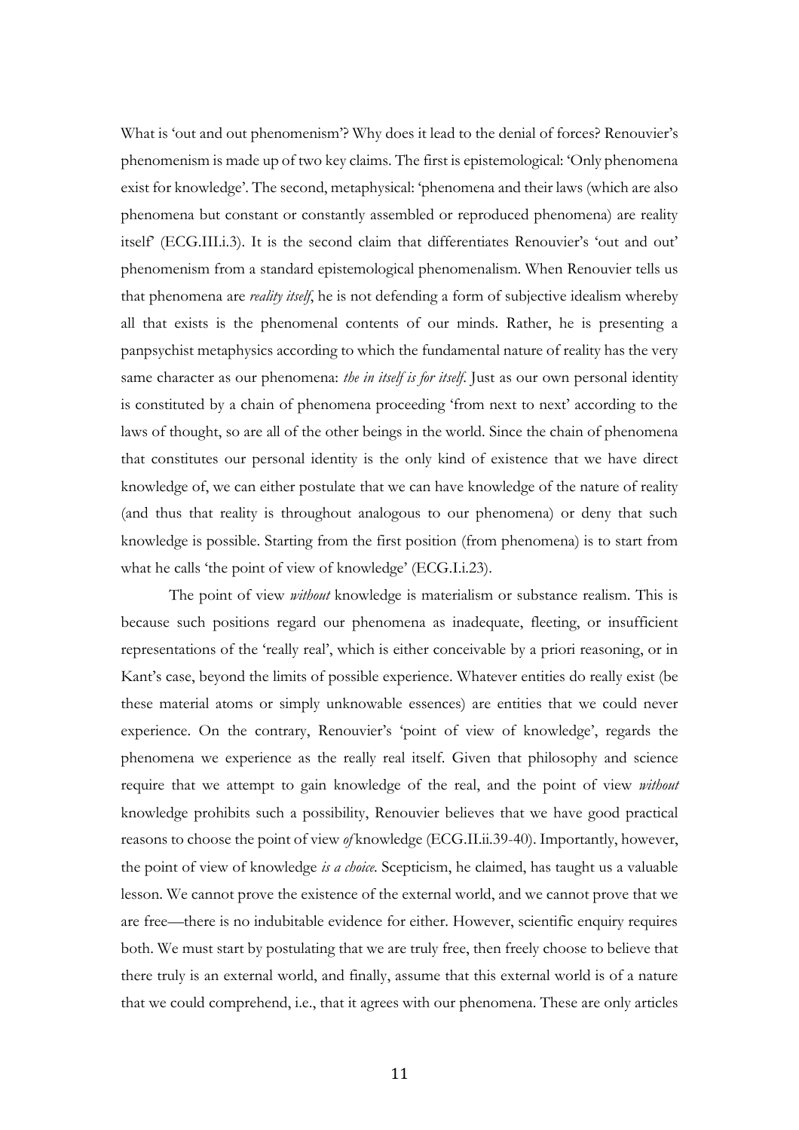What is 'out and out phenomenism'? Why does it lead to the denial of forces? Renouvier's phenomenism is made up of two key claims. The first is epistemological: 'Only phenomena exist for knowledge'. The second, metaphysical: 'phenomena and their laws (which are also phenomena but constant or constantly assembled or reproduced phenomena) are reality itself' (ECG.III.i.3). It is the second claim that differentiates Renouvier's 'out and out' phenomenism from a standard epistemological phenomenalism. When Renouvier tells us that phenomena are *reality itself*, he is not defending a form of subjective idealism whereby all that exists is the phenomenal contents of our minds. Rather, he is presenting a panpsychist metaphysics according to which the fundamental nature of reality has the very same character as our phenomena: *the in itself is for itself*. Just as our own personal identity is constituted by a chain of phenomena proceeding 'from next to next' according to the laws of thought, so are all of the other beings in the world. Since the chain of phenomena that constitutes our personal identity is the only kind of existence that we have direct knowledge of, we can either postulate that we can have knowledge of the nature of reality (and thus that reality is throughout analogous to our phenomena) or deny that such knowledge is possible. Starting from the first position (from phenomena) is to start from what he calls 'the point of view of knowledge' (ECG.I.i.23).

The point of view *without* knowledge is materialism or substance realism. This is because such positions regard our phenomena as inadequate, fleeting, or insufficient representations of the 'really real', which is either conceivable by a priori reasoning, or in Kant's case, beyond the limits of possible experience. Whatever entities do really exist (be these material atoms or simply unknowable essences) are entities that we could never experience. On the contrary, Renouvier's 'point of view of knowledge', regards the phenomena we experience as the really real itself. Given that philosophy and science require that we attempt to gain knowledge of the real, and the point of view *without*  knowledge prohibits such a possibility, Renouvier believes that we have good practical reasons to choose the point of view *of* knowledge (ECG.II.ii.39-40). Importantly, however, the point of view of knowledge *is a choice*. Scepticism, he claimed, has taught us a valuable lesson. We cannot prove the existence of the external world, and we cannot prove that we are free—there is no indubitable evidence for either. However, scientific enquiry requires both. We must start by postulating that we are truly free, then freely choose to believe that there truly is an external world, and finally, assume that this external world is of a nature that we could comprehend, i.e., that it agrees with our phenomena. These are only articles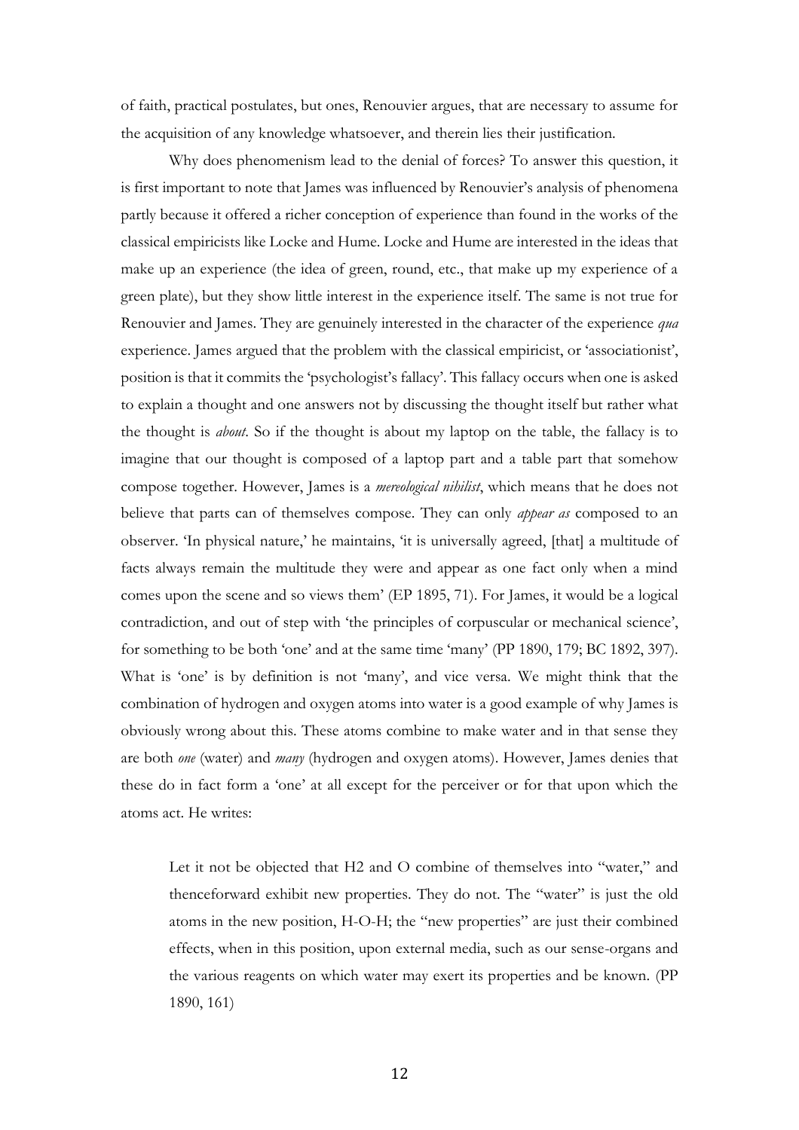of faith, practical postulates, but ones, Renouvier argues, that are necessary to assume for the acquisition of any knowledge whatsoever, and therein lies their justification.

Why does phenomenism lead to the denial of forces? To answer this question, it is first important to note that James was influenced by Renouvier's analysis of phenomena partly because it offered a richer conception of experience than found in the works of the classical empiricists like Locke and Hume. Locke and Hume are interested in the ideas that make up an experience (the idea of green, round, etc., that make up my experience of a green plate), but they show little interest in the experience itself. The same is not true for Renouvier and James. They are genuinely interested in the character of the experience *qua*  experience. James argued that the problem with the classical empiricist, or 'associationist', position is that it commits the 'psychologist's fallacy'. This fallacy occurs when one is asked to explain a thought and one answers not by discussing the thought itself but rather what the thought is *about*. So if the thought is about my laptop on the table, the fallacy is to imagine that our thought is composed of a laptop part and a table part that somehow compose together. However, James is a *mereological nihilist*, which means that he does not believe that parts can of themselves compose. They can only *appear as* composed to an observer. 'In physical nature,' he maintains, 'it is universally agreed, [that] a multitude of facts always remain the multitude they were and appear as one fact only when a mind comes upon the scene and so views them' (EP 1895, 71). For James, it would be a logical contradiction, and out of step with 'the principles of corpuscular or mechanical science', for something to be both 'one' and at the same time 'many' (PP 1890, 179; BC 1892, 397). What is 'one' is by definition is not 'many', and vice versa. We might think that the combination of hydrogen and oxygen atoms into water is a good example of why James is obviously wrong about this. These atoms combine to make water and in that sense they are both *one* (water) and *many* (hydrogen and oxygen atoms). However, James denies that these do in fact form a 'one' at all except for the perceiver or for that upon which the atoms act. He writes:

Let it not be objected that H2 and O combine of themselves into "water," and thenceforward exhibit new properties. They do not. The "water" is just the old atoms in the new position, H-O-H; the "new properties" are just their combined effects, when in this position, upon external media, such as our sense-organs and the various reagents on which water may exert its properties and be known. (PP 1890, 161)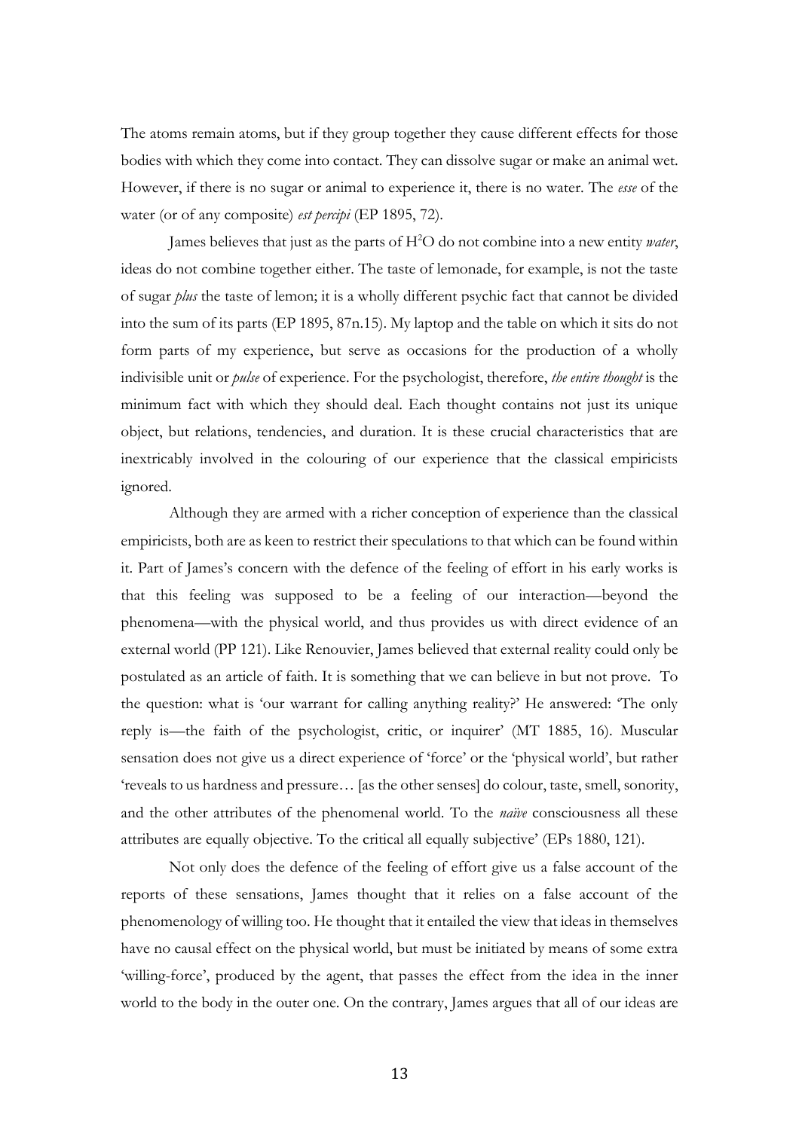The atoms remain atoms, but if they group together they cause different effects for those bodies with which they come into contact. They can dissolve sugar or make an animal wet. However, if there is no sugar or animal to experience it, there is no water. The *esse* of the water (or of any composite) *est percipi* (EP 1895, 72).

James believes that just as the parts of H<sup>2</sup>O do not combine into a new entity *water*, ideas do not combine together either. The taste of lemonade, for example, is not the taste of sugar *plus* the taste of lemon; it is a wholly different psychic fact that cannot be divided into the sum of its parts (EP 1895, 87n.15). My laptop and the table on which it sits do not form parts of my experience, but serve as occasions for the production of a wholly indivisible unit or *pulse* of experience. For the psychologist, therefore, *the entire thought* is the minimum fact with which they should deal. Each thought contains not just its unique object, but relations, tendencies, and duration. It is these crucial characteristics that are inextricably involved in the colouring of our experience that the classical empiricists ignored.

Although they are armed with a richer conception of experience than the classical empiricists, both are as keen to restrict their speculations to that which can be found within it. Part of James's concern with the defence of the feeling of effort in his early works is that this feeling was supposed to be a feeling of our interaction—beyond the phenomena—with the physical world, and thus provides us with direct evidence of an external world (PP 121). Like Renouvier, James believed that external reality could only be postulated as an article of faith. It is something that we can believe in but not prove. To the question: what is 'our warrant for calling anything reality?' He answered: 'The only reply is—the faith of the psychologist, critic, or inquirer' (MT 1885, 16). Muscular sensation does not give us a direct experience of 'force' or the 'physical world', but rather 'reveals to us hardness and pressure… [as the other senses] do colour, taste, smell, sonority, and the other attributes of the phenomenal world. To the *naïve* consciousness all these attributes are equally objective. To the critical all equally subjective' (EPs 1880, 121).

Not only does the defence of the feeling of effort give us a false account of the reports of these sensations, James thought that it relies on a false account of the phenomenology of willing too. He thought that it entailed the view that ideas in themselves have no causal effect on the physical world, but must be initiated by means of some extra 'willing-force', produced by the agent, that passes the effect from the idea in the inner world to the body in the outer one. On the contrary, James argues that all of our ideas are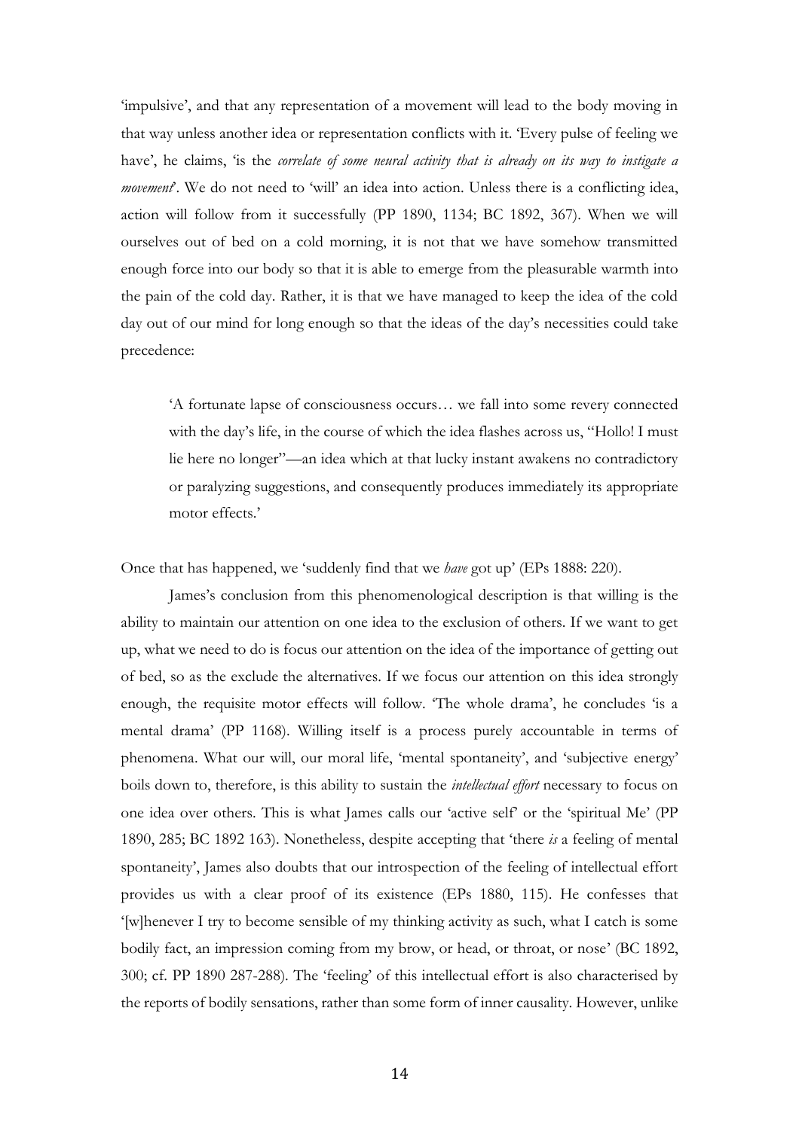'impulsive', and that any representation of a movement will lead to the body moving in that way unless another idea or representation conflicts with it. 'Every pulse of feeling we have', he claims, 'is the *correlate of some neural activity that is already on its way to instigate a movement*'. We do not need to 'will' an idea into action. Unless there is a conflicting idea, action will follow from it successfully (PP 1890, 1134; BC 1892, 367). When we will ourselves out of bed on a cold morning, it is not that we have somehow transmitted enough force into our body so that it is able to emerge from the pleasurable warmth into the pain of the cold day. Rather, it is that we have managed to keep the idea of the cold day out of our mind for long enough so that the ideas of the day's necessities could take precedence:

'A fortunate lapse of consciousness occurs… we fall into some revery connected with the day's life, in the course of which the idea flashes across us, "Hollo! I must lie here no longer"—an idea which at that lucky instant awakens no contradictory or paralyzing suggestions, and consequently produces immediately its appropriate motor effects.'

Once that has happened, we 'suddenly find that we *have* got up' (EPs 1888: 220).

James's conclusion from this phenomenological description is that willing is the ability to maintain our attention on one idea to the exclusion of others. If we want to get up, what we need to do is focus our attention on the idea of the importance of getting out of bed, so as the exclude the alternatives. If we focus our attention on this idea strongly enough, the requisite motor effects will follow. 'The whole drama', he concludes 'is a mental drama' (PP 1168). Willing itself is a process purely accountable in terms of phenomena. What our will, our moral life, 'mental spontaneity', and 'subjective energy' boils down to, therefore, is this ability to sustain the *intellectual effort* necessary to focus on one idea over others. This is what James calls our 'active self' or the 'spiritual Me' (PP 1890, 285; BC 1892 163). Nonetheless, despite accepting that 'there *is* a feeling of mental spontaneity', James also doubts that our introspection of the feeling of intellectual effort provides us with a clear proof of its existence (EPs 1880, 115). He confesses that '[w]henever I try to become sensible of my thinking activity as such, what I catch is some bodily fact, an impression coming from my brow, or head, or throat, or nose' (BC 1892, 300; cf. PP 1890 287-288). The 'feeling' of this intellectual effort is also characterised by the reports of bodily sensations, rather than some form of inner causality. However, unlike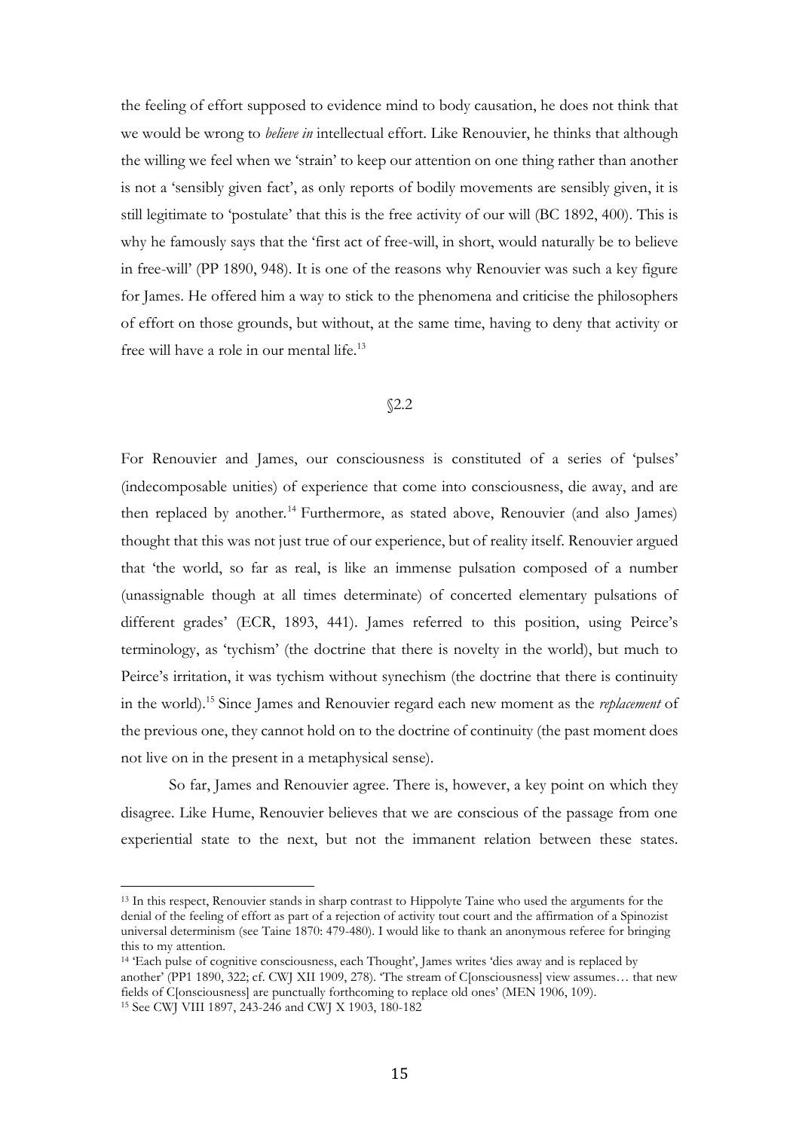the feeling of effort supposed to evidence mind to body causation, he does not think that we would be wrong to *believe in* intellectual effort. Like Renouvier, he thinks that although the willing we feel when we 'strain' to keep our attention on one thing rather than another is not a 'sensibly given fact', as only reports of bodily movements are sensibly given, it is still legitimate to 'postulate' that this is the free activity of our will (BC 1892, 400). This is why he famously says that the 'first act of free-will, in short, would naturally be to believe in free-will' (PP 1890, 948). It is one of the reasons why Renouvier was such a key figure for James. He offered him a way to stick to the phenomena and criticise the philosophers of effort on those grounds, but without, at the same time, having to deny that activity or free will have a role in our mental life.<sup>13</sup>

## §2.2

For Renouvier and James, our consciousness is constituted of a series of 'pulses' (indecomposable unities) of experience that come into consciousness, die away, and are then replaced by another.<sup>14</sup> Furthermore, as stated above, Renouvier (and also James) thought that this was not just true of our experience, but of reality itself. Renouvier argued that 'the world, so far as real, is like an immense pulsation composed of a number (unassignable though at all times determinate) of concerted elementary pulsations of different grades' (ECR, 1893, 441). James referred to this position, using Peirce's terminology, as 'tychism' (the doctrine that there is novelty in the world), but much to Peirce's irritation, it was tychism without synechism (the doctrine that there is continuity in the world).<sup>15</sup> Since James and Renouvier regard each new moment as the *replacement* of the previous one, they cannot hold on to the doctrine of continuity (the past moment does not live on in the present in a metaphysical sense).

So far, James and Renouvier agree. There is, however, a key point on which they disagree. Like Hume, Renouvier believes that we are conscious of the passage from one experiential state to the next, but not the immanent relation between these states.

<sup>13</sup> In this respect, Renouvier stands in sharp contrast to Hippolyte Taine who used the arguments for the denial of the feeling of effort as part of a rejection of activity tout court and the affirmation of a Spinozist universal determinism (see Taine 1870: 479-480). I would like to thank an anonymous referee for bringing this to my attention.

<sup>14</sup> 'Each pulse of cognitive consciousness, each Thought', James writes 'dies away and is replaced by another' (PP1 1890, 322; cf. CWJ XII 1909, 278). 'The stream of C[onsciousness] view assumes… that new fields of C[onsciousness] are punctually forthcoming to replace old ones' (MEN 1906, 109). <sup>15</sup> See CWJ VIII 1897, 243-246 and CWJ X 1903, 180-182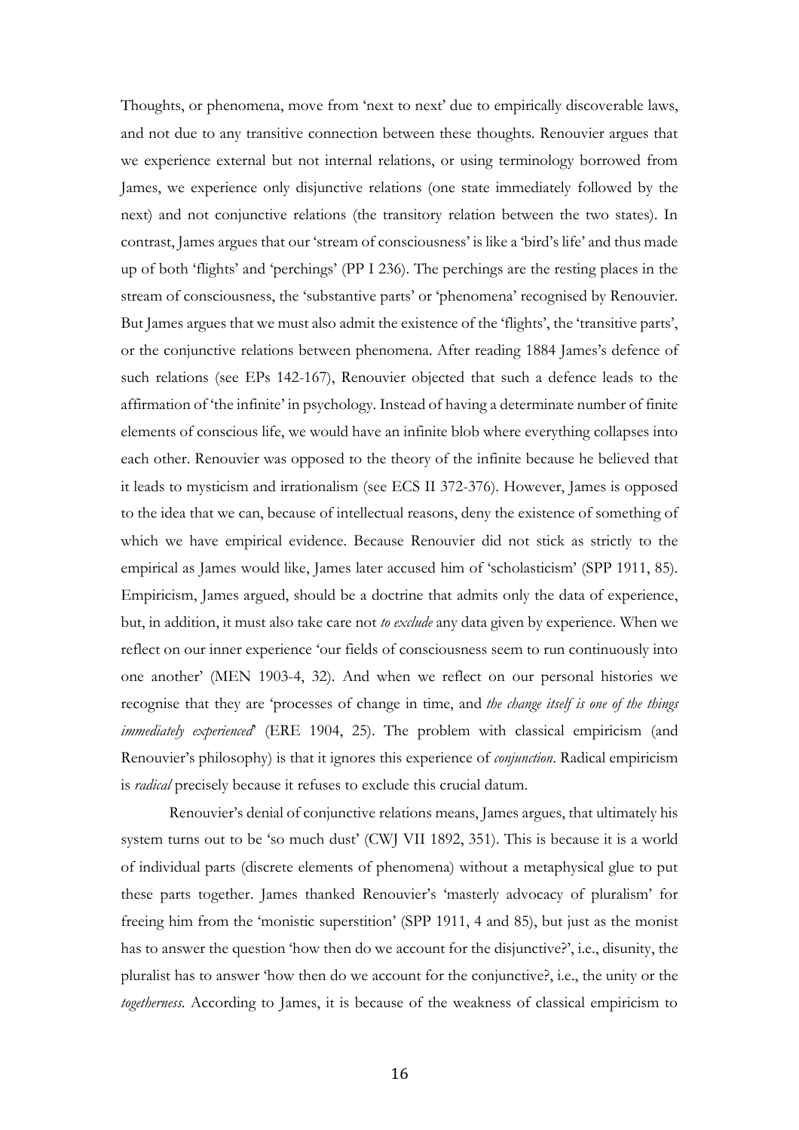Thoughts, or phenomena, move from 'next to next' due to empirically discoverable laws, and not due to any transitive connection between these thoughts. Renouvier argues that we experience external but not internal relations, or using terminology borrowed from James, we experience only disjunctive relations (one state immediately followed by the next) and not conjunctive relations (the transitory relation between the two states). In contrast, James argues that our 'stream of consciousness' is like a 'bird's life' and thus made up of both 'flights' and 'perchings' (PP I 236). The perchings are the resting places in the stream of consciousness, the 'substantive parts' or 'phenomena' recognised by Renouvier. But James argues that we must also admit the existence of the 'flights', the 'transitive parts', or the conjunctive relations between phenomena. After reading 1884 James's defence of such relations (see EPs 142-167), Renouvier objected that such a defence leads to the affirmation of 'the infinite' in psychology. Instead of having a determinate number of finite elements of conscious life, we would have an infinite blob where everything collapses into each other. Renouvier was opposed to the theory of the infinite because he believed that it leads to mysticism and irrationalism (see ECS II 372-376). However, James is opposed to the idea that we can, because of intellectual reasons, deny the existence of something of which we have empirical evidence. Because Renouvier did not stick as strictly to the empirical as James would like, James later accused him of 'scholasticism' (SPP 1911, 85). Empiricism, James argued, should be a doctrine that admits only the data of experience, but, in addition, it must also take care not *to exclude* any data given by experience. When we reflect on our inner experience 'our fields of consciousness seem to run continuously into one another' (MEN 1903-4, 32). And when we reflect on our personal histories we recognise that they are 'processes of change in time, and *the change itself is one of the things immediately experienced*' (ERE 1904, 25). The problem with classical empiricism (and Renouvier's philosophy) is that it ignores this experience of *conjunction*. Radical empiricism is *radical* precisely because it refuses to exclude this crucial datum.

Renouvier's denial of conjunctive relations means, James argues, that ultimately his system turns out to be 'so much dust' (CWJ VII 1892, 351). This is because it is a world of individual parts (discrete elements of phenomena) without a metaphysical glue to put these parts together. James thanked Renouvier's 'masterly advocacy of pluralism' for freeing him from the 'monistic superstition' (SPP 1911, 4 and 85), but just as the monist has to answer the question 'how then do we account for the disjunctive?', i.e., disunity, the pluralist has to answer 'how then do we account for the conjunctive?, i.e., the unity or the *togetherness*. According to James, it is because of the weakness of classical empiricism to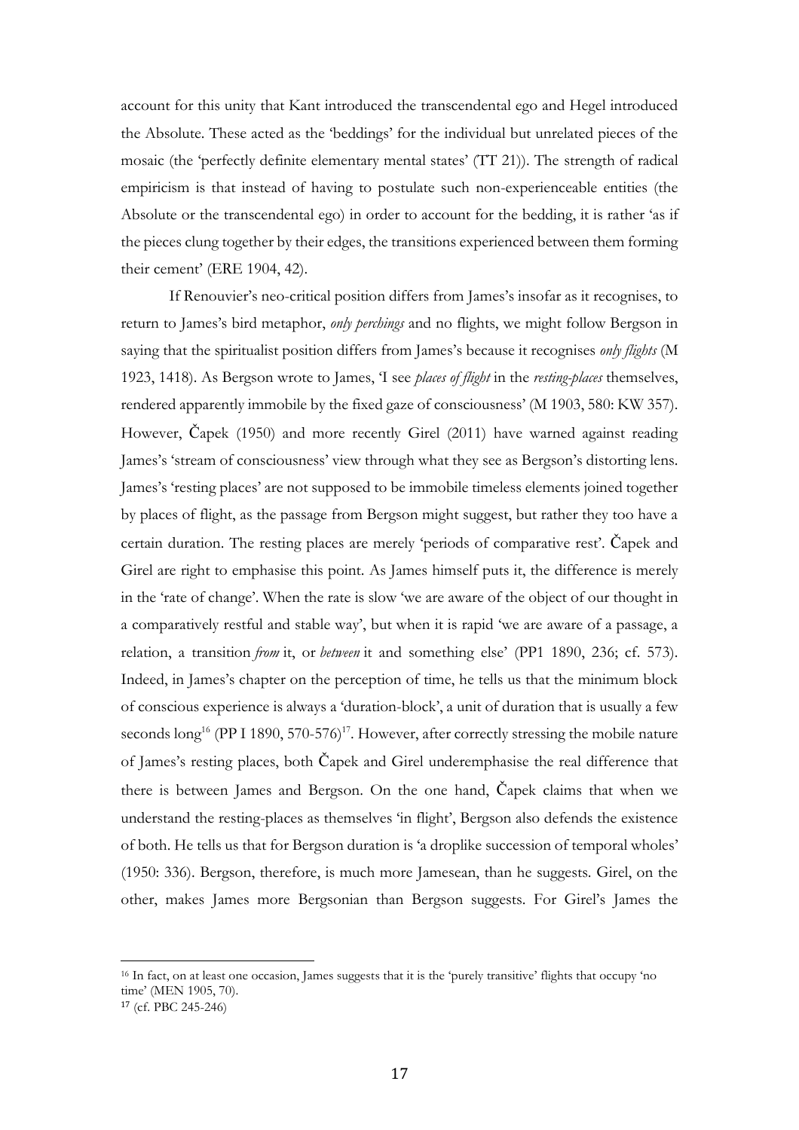account for this unity that Kant introduced the transcendental ego and Hegel introduced the Absolute. These acted as the 'beddings' for the individual but unrelated pieces of the mosaic (the 'perfectly definite elementary mental states' (TT 21)). The strength of radical empiricism is that instead of having to postulate such non-experienceable entities (the Absolute or the transcendental ego) in order to account for the bedding, it is rather 'as if the pieces clung together by their edges, the transitions experienced between them forming their cement' (ERE 1904, 42).

If Renouvier's neo-critical position differs from James's insofar as it recognises, to return to James's bird metaphor, *only perchings* and no flights, we might follow Bergson in saying that the spiritualist position differs from James's because it recognises *only flights* (M 1923, 1418). As Bergson wrote to James, 'I see *places of flight* in the *resting-places* themselves, rendered apparently immobile by the fixed gaze of consciousness' (M 1903, 580: KW 357). However, Čapek (1950) and more recently Girel (2011) have warned against reading James's 'stream of consciousness' view through what they see as Bergson's distorting lens. James's 'resting places' are not supposed to be immobile timeless elements joined together by places of flight, as the passage from Bergson might suggest, but rather they too have a certain duration. The resting places are merely 'periods of comparative rest'. Čapek and Girel are right to emphasise this point. As James himself puts it, the difference is merely in the 'rate of change'. When the rate is slow 'we are aware of the object of our thought in a comparatively restful and stable way', but when it is rapid 'we are aware of a passage, a relation, a transition *from* it, or *between* it and something else' (PP1 1890, 236; cf. 573). Indeed, in James's chapter on the perception of time, he tells us that the minimum block of conscious experience is always a 'duration-block', a unit of duration that is usually a few seconds  $\log^{16}$  (PP I 1890, 570-576)<sup>17</sup>. However, after correctly stressing the mobile nature of James's resting places, both Čapek and Girel underemphasise the real difference that there is between James and Bergson. On the one hand, Čapek claims that when we understand the resting-places as themselves 'in flight', Bergson also defends the existence of both. He tells us that for Bergson duration is 'a droplike succession of temporal wholes' (1950: 336). Bergson, therefore, is much more Jamesean, than he suggests. Girel, on the other, makes James more Bergsonian than Bergson suggests. For Girel's James the

<sup>16</sup> In fact, on at least one occasion, James suggests that it is the 'purely transitive' flights that occupy 'no time' (MEN 1905, 70).

<sup>17</sup> (cf. PBC 245-246)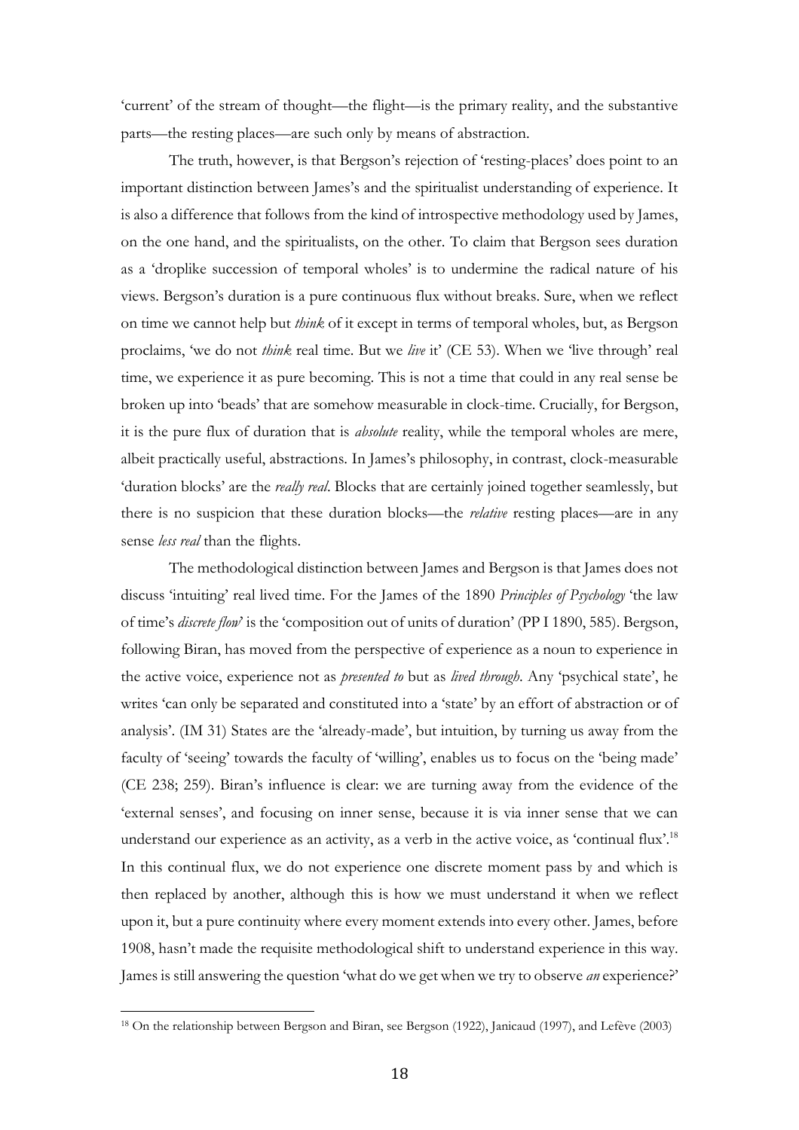'current' of the stream of thought—the flight—is the primary reality, and the substantive parts—the resting places—are such only by means of abstraction.

The truth, however, is that Bergson's rejection of 'resting-places' does point to an important distinction between James's and the spiritualist understanding of experience. It is also a difference that follows from the kind of introspective methodology used by James, on the one hand, and the spiritualists, on the other. To claim that Bergson sees duration as a 'droplike succession of temporal wholes' is to undermine the radical nature of his views. Bergson's duration is a pure continuous flux without breaks. Sure, when we reflect on time we cannot help but *think* of it except in terms of temporal wholes, but, as Bergson proclaims, 'we do not *think* real time. But we *live* it' (CE 53). When we 'live through' real time, we experience it as pure becoming. This is not a time that could in any real sense be broken up into 'beads' that are somehow measurable in clock-time. Crucially, for Bergson, it is the pure flux of duration that is *absolute* reality, while the temporal wholes are mere, albeit practically useful, abstractions. In James's philosophy, in contrast, clock-measurable 'duration blocks' are the *really real*. Blocks that are certainly joined together seamlessly, but there is no suspicion that these duration blocks—the *relative* resting places—are in any sense *less real* than the flights.

The methodological distinction between James and Bergson is that James does not discuss 'intuiting' real lived time. For the James of the 1890 *Principles of Psychology* 'the law of time's *discrete flow*' is the 'composition out of units of duration' (PP I 1890, 585). Bergson, following Biran, has moved from the perspective of experience as a noun to experience in the active voice, experience not as *presented to* but as *lived through*. Any 'psychical state', he writes 'can only be separated and constituted into a 'state' by an effort of abstraction or of analysis'. (IM 31) States are the 'already-made', but intuition, by turning us away from the faculty of 'seeing' towards the faculty of 'willing', enables us to focus on the 'being made' (CE 238; 259). Biran's influence is clear: we are turning away from the evidence of the 'external senses', and focusing on inner sense, because it is via inner sense that we can understand our experience as an activity, as a verb in the active voice, as 'continual flux'.<sup>18</sup> In this continual flux, we do not experience one discrete moment pass by and which is then replaced by another, although this is how we must understand it when we reflect upon it, but a pure continuity where every moment extends into every other. James, before 1908, hasn't made the requisite methodological shift to understand experience in this way. James is still answering the question 'what do we get when we try to observe *an* experience?'

<sup>18</sup> On the relationship between Bergson and Biran, see Bergson (1922), Janicaud (1997), and Lefève (2003)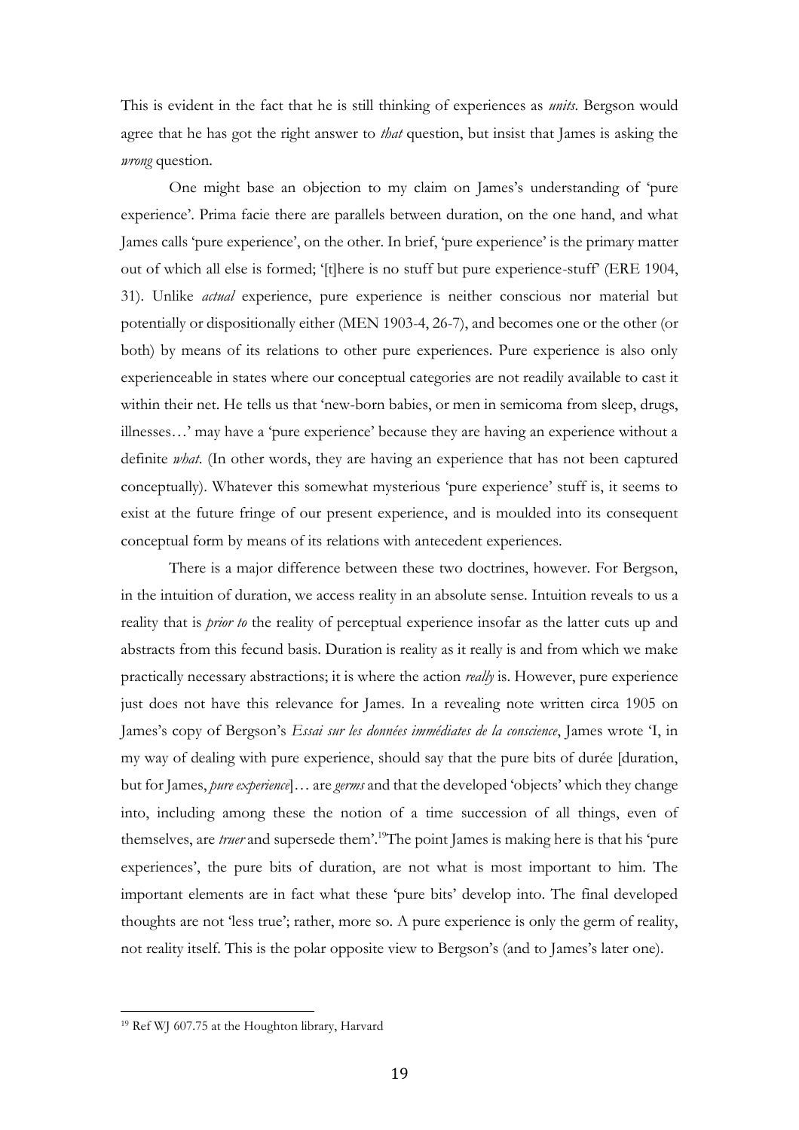This is evident in the fact that he is still thinking of experiences as *units*. Bergson would agree that he has got the right answer to *that* question, but insist that James is asking the *wrong* question.

One might base an objection to my claim on James's understanding of 'pure experience'. Prima facie there are parallels between duration, on the one hand, and what James calls 'pure experience', on the other. In brief, 'pure experience' is the primary matter out of which all else is formed; '[t]here is no stuff but pure experience-stuff' (ERE 1904, 31). Unlike *actual* experience, pure experience is neither conscious nor material but potentially or dispositionally either (MEN 1903-4, 26-7), and becomes one or the other (or both) by means of its relations to other pure experiences. Pure experience is also only experienceable in states where our conceptual categories are not readily available to cast it within their net. He tells us that 'new-born babies, or men in semicoma from sleep, drugs, illnesses…' may have a 'pure experience' because they are having an experience without a definite *what*. (In other words, they are having an experience that has not been captured conceptually). Whatever this somewhat mysterious 'pure experience' stuff is, it seems to exist at the future fringe of our present experience, and is moulded into its consequent conceptual form by means of its relations with antecedent experiences.

There is a major difference between these two doctrines, however. For Bergson, in the intuition of duration, we access reality in an absolute sense. Intuition reveals to us a reality that is *prior to* the reality of perceptual experience insofar as the latter cuts up and abstracts from this fecund basis. Duration is reality as it really is and from which we make practically necessary abstractions; it is where the action *really* is. However, pure experience just does not have this relevance for James. In a revealing note written circa 1905 on James's copy of Bergson's *Essai sur les données immédiates de la conscience*, James wrote 'I, in my way of dealing with pure experience, should say that the pure bits of durée [duration, but for James, *pure experience*]… are *germs* and that the developed 'objects' which they change into, including among these the notion of a time succession of all things, even of themselves, are *truer* and supersede them'.<sup>19</sup>The point James is making here is that his 'pure experiences', the pure bits of duration, are not what is most important to him. The important elements are in fact what these 'pure bits' develop into. The final developed thoughts are not 'less true'; rather, more so. A pure experience is only the germ of reality, not reality itself. This is the polar opposite view to Bergson's (and to James's later one).

<sup>19</sup> Ref WJ 607.75 at the Houghton library, Harvard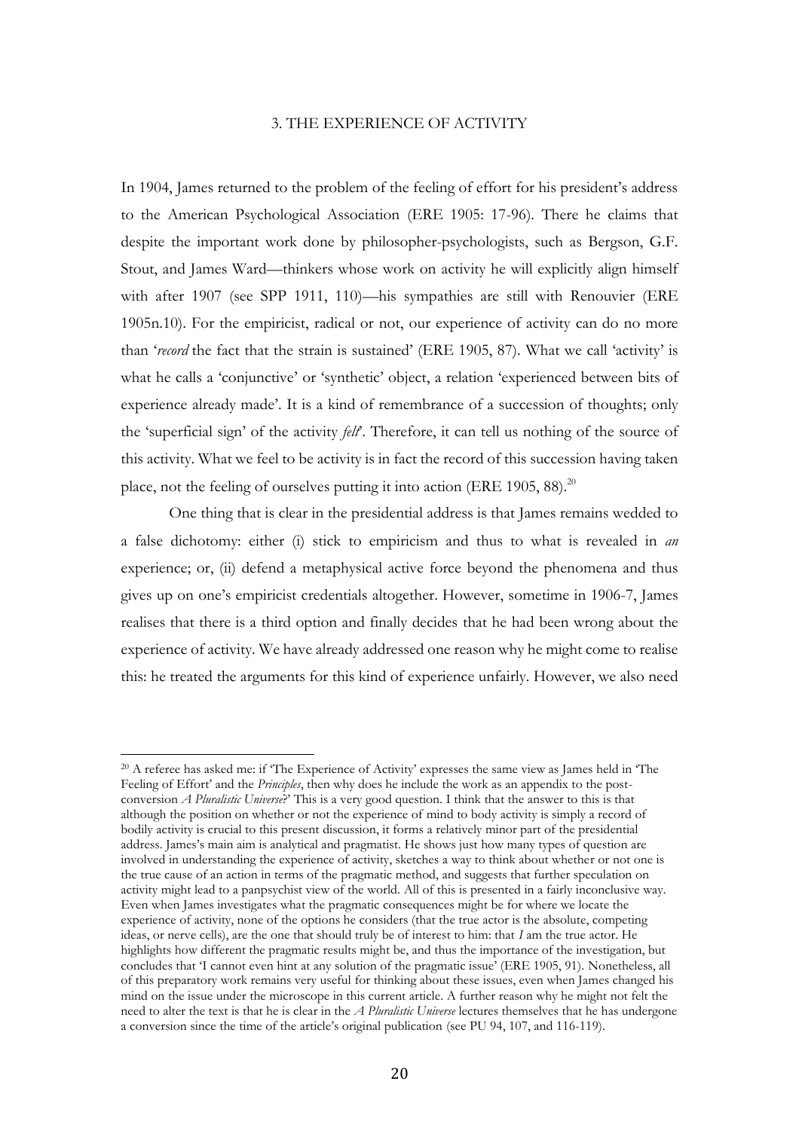#### 3. THE EXPERIENCE OF ACTIVITY

In 1904, James returned to the problem of the feeling of effort for his president's address to the American Psychological Association (ERE 1905: 17-96). There he claims that despite the important work done by philosopher-psychologists, such as Bergson, G.F. Stout, and James Ward—thinkers whose work on activity he will explicitly align himself with after 1907 (see SPP 1911, 110)—his sympathies are still with Renouvier (ERE 1905n.10). For the empiricist, radical or not, our experience of activity can do no more than '*record* the fact that the strain is sustained' (ERE 1905, 87). What we call 'activity' is what he calls a 'conjunctive' or 'synthetic' object, a relation 'experienced between bits of experience already made'. It is a kind of remembrance of a succession of thoughts; only the 'superficial sign' of the activity *felt*'. Therefore, it can tell us nothing of the source of this activity. What we feel to be activity is in fact the record of this succession having taken place, not the feeling of ourselves putting it into action (ERE 1905, 88).<sup>20</sup>

One thing that is clear in the presidential address is that James remains wedded to a false dichotomy: either (i) stick to empiricism and thus to what is revealed in *an* experience; or, (ii) defend a metaphysical active force beyond the phenomena and thus gives up on one's empiricist credentials altogether. However, sometime in 1906-7, James realises that there is a third option and finally decides that he had been wrong about the experience of activity. We have already addressed one reason why he might come to realise this: he treated the arguments for this kind of experience unfairly. However, we also need

<sup>20</sup> A referee has asked me: if 'The Experience of Activity' expresses the same view as James held in 'The Feeling of Effort' and the *Principles*, then why does he include the work as an appendix to the postconversion *A Pluralistic Universe*?' This is a very good question. I think that the answer to this is that although the position on whether or not the experience of mind to body activity is simply a record of bodily activity is crucial to this present discussion, it forms a relatively minor part of the presidential address. James's main aim is analytical and pragmatist. He shows just how many types of question are involved in understanding the experience of activity, sketches a way to think about whether or not one is the true cause of an action in terms of the pragmatic method, and suggests that further speculation on activity might lead to a panpsychist view of the world. All of this is presented in a fairly inconclusive way. Even when James investigates what the pragmatic consequences might be for where we locate the experience of activity, none of the options he considers (that the true actor is the absolute, competing ideas, or nerve cells), are the one that should truly be of interest to him: that *I* am the true actor. He highlights how different the pragmatic results might be, and thus the importance of the investigation, but concludes that 'I cannot even hint at any solution of the pragmatic issue' (ERE 1905, 91). Nonetheless, all of this preparatory work remains very useful for thinking about these issues, even when James changed his mind on the issue under the microscope in this current article. A further reason why he might not felt the need to alter the text is that he is clear in the *A Pluralistic Universe* lectures themselves that he has undergone a conversion since the time of the article's original publication (see PU 94, 107, and 116-119).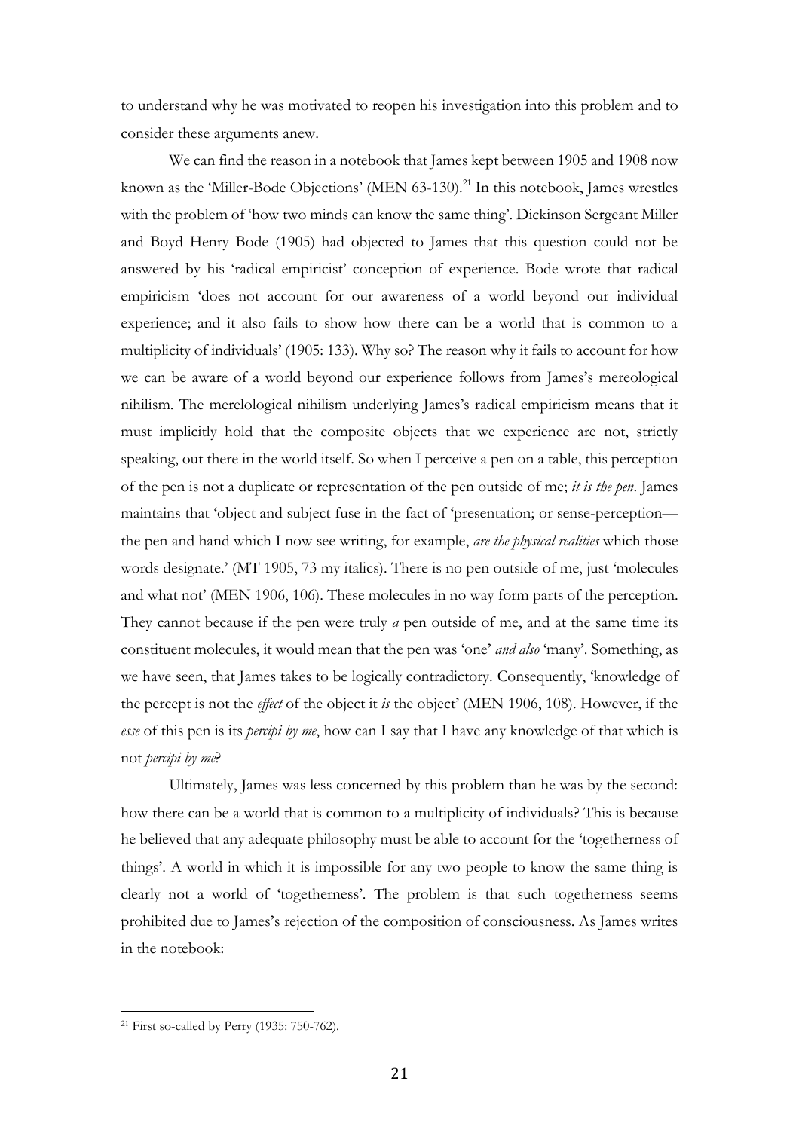to understand why he was motivated to reopen his investigation into this problem and to consider these arguments anew.

We can find the reason in a notebook that James kept between 1905 and 1908 now known as the 'Miller-Bode Objections' (MEN 63-130).<sup>21</sup> In this notebook, James wrestles with the problem of 'how two minds can know the same thing'. Dickinson Sergeant Miller and Boyd Henry Bode (1905) had objected to James that this question could not be answered by his 'radical empiricist' conception of experience. Bode wrote that radical empiricism 'does not account for our awareness of a world beyond our individual experience; and it also fails to show how there can be a world that is common to a multiplicity of individuals' (1905: 133). Why so? The reason why it fails to account for how we can be aware of a world beyond our experience follows from James's mereological nihilism. The merelological nihilism underlying James's radical empiricism means that it must implicitly hold that the composite objects that we experience are not, strictly speaking, out there in the world itself. So when I perceive a pen on a table, this perception of the pen is not a duplicate or representation of the pen outside of me; *it is the pen*. James maintains that 'object and subject fuse in the fact of 'presentation; or sense-perception the pen and hand which I now see writing, for example, *are the physical realities* which those words designate.' (MT 1905, 73 my italics). There is no pen outside of me, just 'molecules and what not' (MEN 1906, 106). These molecules in no way form parts of the perception. They cannot because if the pen were truly *a* pen outside of me, and at the same time its constituent molecules, it would mean that the pen was 'one' *and also* 'many'. Something, as we have seen, that James takes to be logically contradictory. Consequently, 'knowledge of the percept is not the *effect* of the object it *is* the object' (MEN 1906, 108). However, if the *esse* of this pen is its *percipi by me*, how can I say that I have any knowledge of that which is not *percipi by me*?

Ultimately, James was less concerned by this problem than he was by the second: how there can be a world that is common to a multiplicity of individuals? This is because he believed that any adequate philosophy must be able to account for the 'togetherness of things'. A world in which it is impossible for any two people to know the same thing is clearly not a world of 'togetherness'. The problem is that such togetherness seems prohibited due to James's rejection of the composition of consciousness. As James writes in the notebook:

<sup>21</sup> First so-called by Perry (1935: 750-762).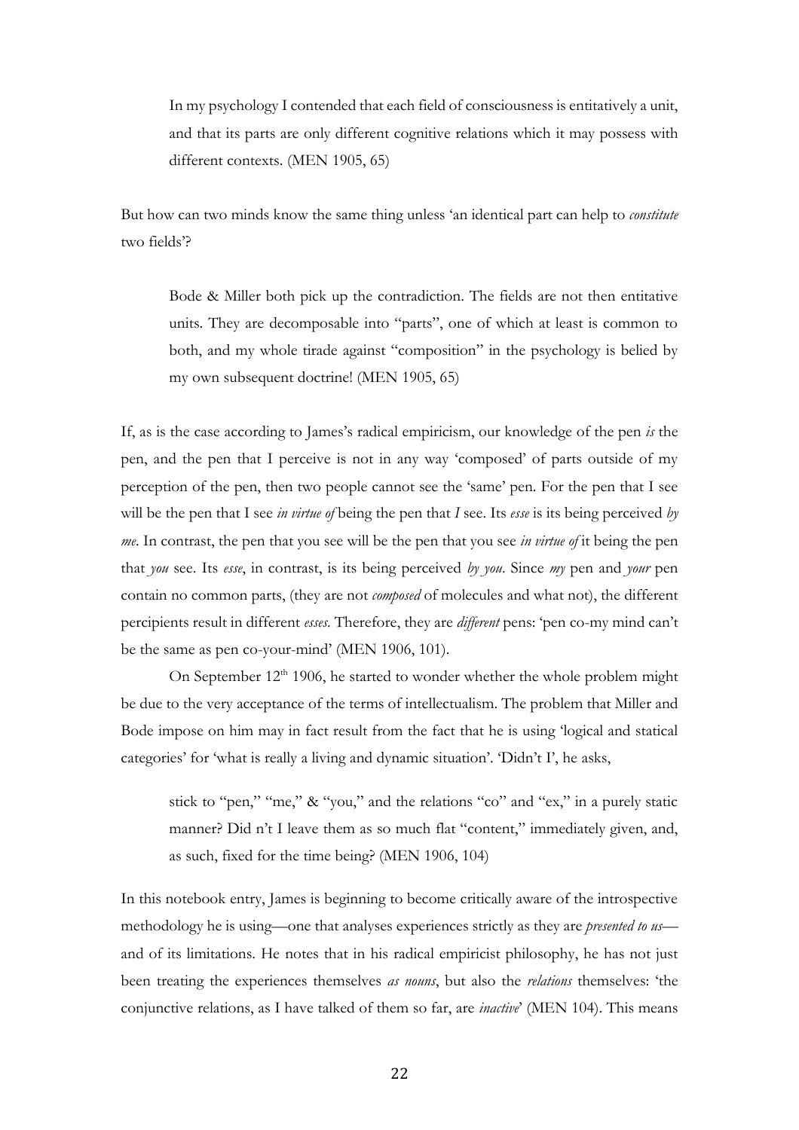In my psychology I contended that each field of consciousness is entitatively a unit, and that its parts are only different cognitive relations which it may possess with different contexts. (MEN 1905, 65)

But how can two minds know the same thing unless 'an identical part can help to *constitute*  two fields'?

Bode & Miller both pick up the contradiction. The fields are not then entitative units. They are decomposable into "parts", one of which at least is common to both, and my whole tirade against "composition" in the psychology is belied by my own subsequent doctrine! (MEN 1905, 65)

If, as is the case according to James's radical empiricism, our knowledge of the pen *is* the pen, and the pen that I perceive is not in any way 'composed' of parts outside of my perception of the pen, then two people cannot see the 'same' pen. For the pen that I see will be the pen that I see *in virtue of* being the pen that *I* see. Its *esse* is its being perceived *by me*. In contrast, the pen that you see will be the pen that you see *in virtue of* it being the pen that *you* see. Its *esse*, in contrast, is its being perceived *by you*. Since *my* pen and *your* pen contain no common parts, (they are not *composed* of molecules and what not), the different percipients result in different *esses*. Therefore, they are *different* pens: 'pen co-my mind can't be the same as pen co-your-mind' (MEN 1906, 101).

On September  $12<sup>th</sup> 1906$ , he started to wonder whether the whole problem might be due to the very acceptance of the terms of intellectualism. The problem that Miller and Bode impose on him may in fact result from the fact that he is using 'logical and statical categories' for 'what is really a living and dynamic situation'. 'Didn't I', he asks,

stick to "pen," "me," & "you," and the relations "co" and "ex," in a purely static manner? Did n't I leave them as so much flat "content," immediately given, and, as such, fixed for the time being? (MEN 1906, 104)

In this notebook entry, James is beginning to become critically aware of the introspective methodology he is using—one that analyses experiences strictly as they are *presented to us* and of its limitations. He notes that in his radical empiricist philosophy, he has not just been treating the experiences themselves *as nouns*, but also the *relations* themselves: 'the conjunctive relations, as I have talked of them so far, are *inactive*' (MEN 104). This means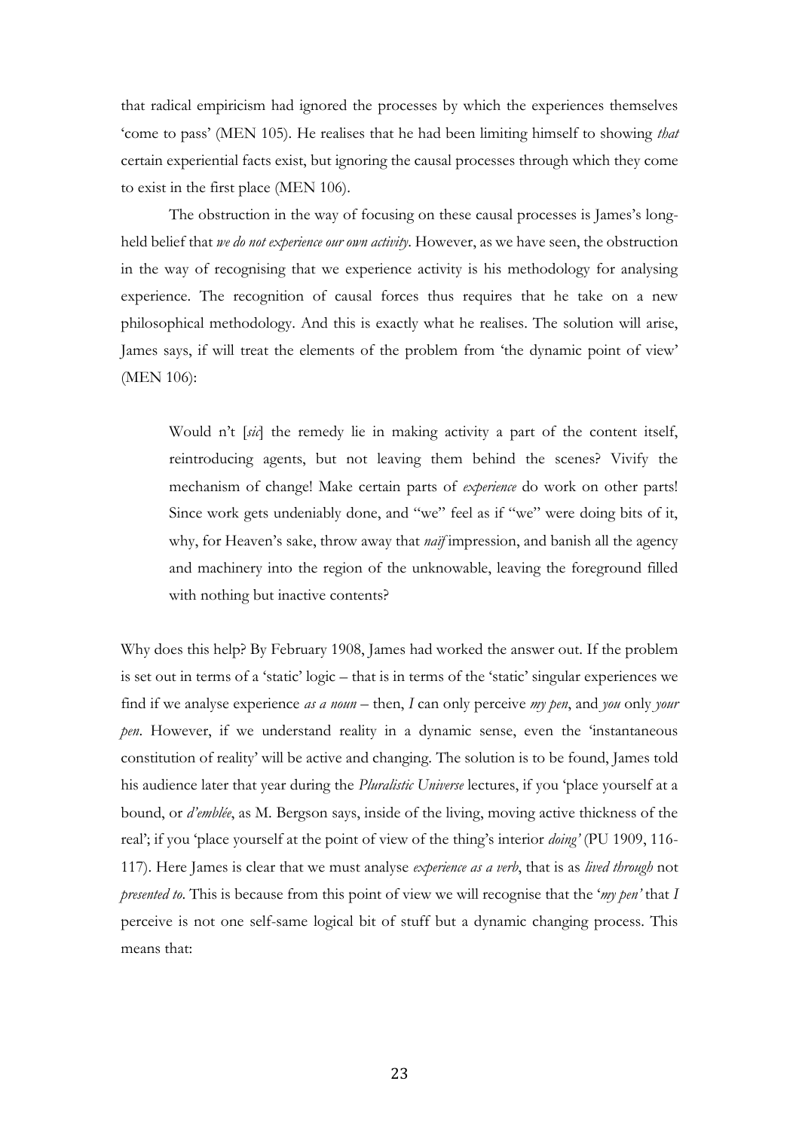that radical empiricism had ignored the processes by which the experiences themselves 'come to pass' (MEN 105). He realises that he had been limiting himself to showing *that* certain experiential facts exist, but ignoring the causal processes through which they come to exist in the first place (MEN 106).

The obstruction in the way of focusing on these causal processes is James's longheld belief that *we do not experience our own activity*. However, as we have seen, the obstruction in the way of recognising that we experience activity is his methodology for analysing experience. The recognition of causal forces thus requires that he take on a new philosophical methodology. And this is exactly what he realises. The solution will arise, James says, if will treat the elements of the problem from 'the dynamic point of view' (MEN 106):

Would n't [*sic*] the remedy lie in making activity a part of the content itself, reintroducing agents, but not leaving them behind the scenes? Vivify the mechanism of change! Make certain parts of *experience* do work on other parts! Since work gets undeniably done, and "we" feel as if "we" were doing bits of it, why, for Heaven's sake, throw away that *naïf* impression, and banish all the agency and machinery into the region of the unknowable, leaving the foreground filled with nothing but inactive contents?

Why does this help? By February 1908, James had worked the answer out. If the problem is set out in terms of a 'static' logic – that is in terms of the 'static' singular experiences we find if we analyse experience *as a noun* – then, *I* can only perceive *my pen*, and *you* only *your pen*. However, if we understand reality in a dynamic sense, even the 'instantaneous constitution of reality' will be active and changing. The solution is to be found, James told his audience later that year during the *Pluralistic Universe* lectures, if you 'place yourself at a bound, or *d'emblée*, as M. Bergson says, inside of the living, moving active thickness of the real'; if you 'place yourself at the point of view of the thing's interior *doing'* (PU 1909, 116- 117). Here James is clear that we must analyse *experience as a verb*, that is as *lived through* not *presented to*. This is because from this point of view we will recognise that the '*my pen'* that *I*  perceive is not one self-same logical bit of stuff but a dynamic changing process. This means that: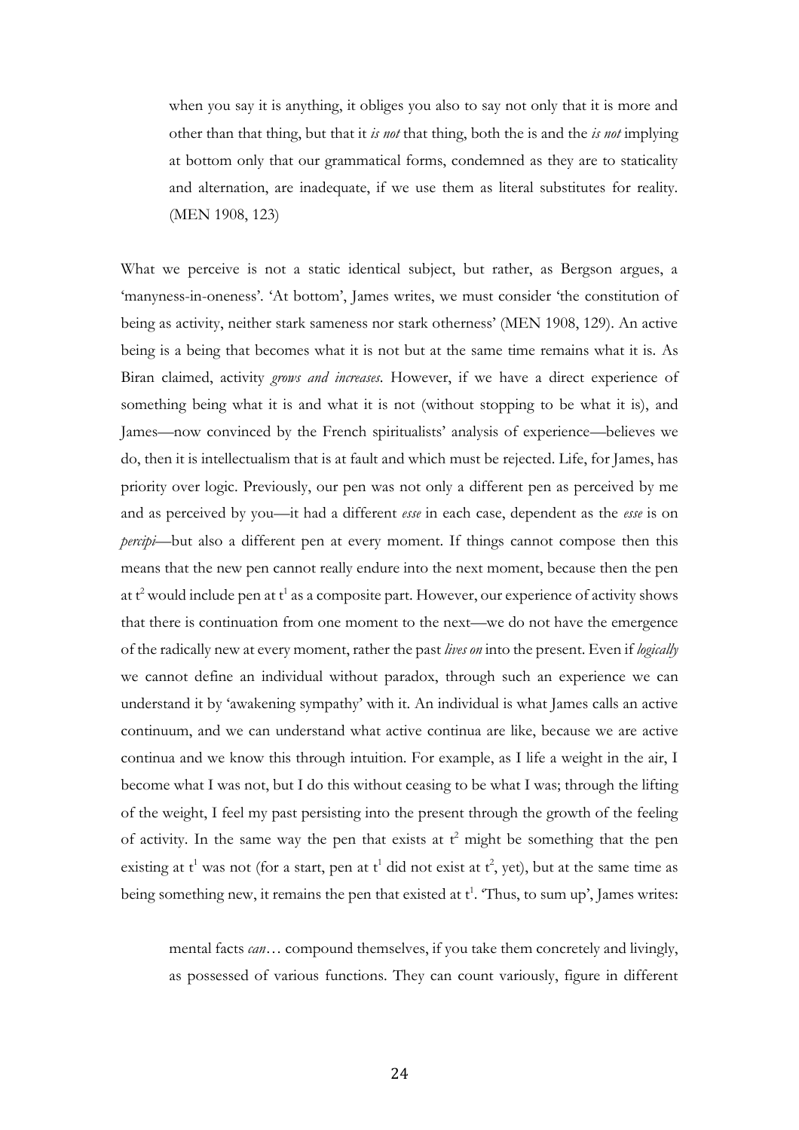when you say it is anything, it obliges you also to say not only that it is more and other than that thing, but that it *is not* that thing, both the is and the *is not* implying at bottom only that our grammatical forms, condemned as they are to staticality and alternation, are inadequate, if we use them as literal substitutes for reality. (MEN 1908, 123)

What we perceive is not a static identical subject, but rather, as Bergson argues, a 'manyness-in-oneness'. 'At bottom', James writes, we must consider 'the constitution of being as activity, neither stark sameness nor stark otherness' (MEN 1908, 129). An active being is a being that becomes what it is not but at the same time remains what it is. As Biran claimed, activity *grows and increases*. However, if we have a direct experience of something being what it is and what it is not (without stopping to be what it is), and James—now convinced by the French spiritualists' analysis of experience—believes we do, then it is intellectualism that is at fault and which must be rejected. Life, for James, has priority over logic. Previously, our pen was not only a different pen as perceived by me and as perceived by you—it had a different *esse* in each case, dependent as the *esse* is on *percipi*—but also a different pen at every moment. If things cannot compose then this means that the new pen cannot really endure into the next moment, because then the pen at  $t^2$  would include pen at  $t^1$  as a composite part. However, our experience of activity shows that there is continuation from one moment to the next—we do not have the emergence of the radically new at every moment, rather the past *lives on* into the present. Even if *logically* we cannot define an individual without paradox, through such an experience we can understand it by 'awakening sympathy' with it. An individual is what James calls an active continuum, and we can understand what active continua are like, because we are active continua and we know this through intuition. For example, as I life a weight in the air, I become what I was not, but I do this without ceasing to be what I was; through the lifting of the weight, I feel my past persisting into the present through the growth of the feeling of activity. In the same way the pen that exists at  $t^2$  might be something that the pen existing at  $t^1$  was not (for a start, pen at  $t^1$  did not exist at  $t^2$ , yet), but at the same time as being something new, it remains the pen that existed at  $t^1$ . Thus, to sum up', James writes:

mental facts *can*… compound themselves, if you take them concretely and livingly, as possessed of various functions. They can count variously, figure in different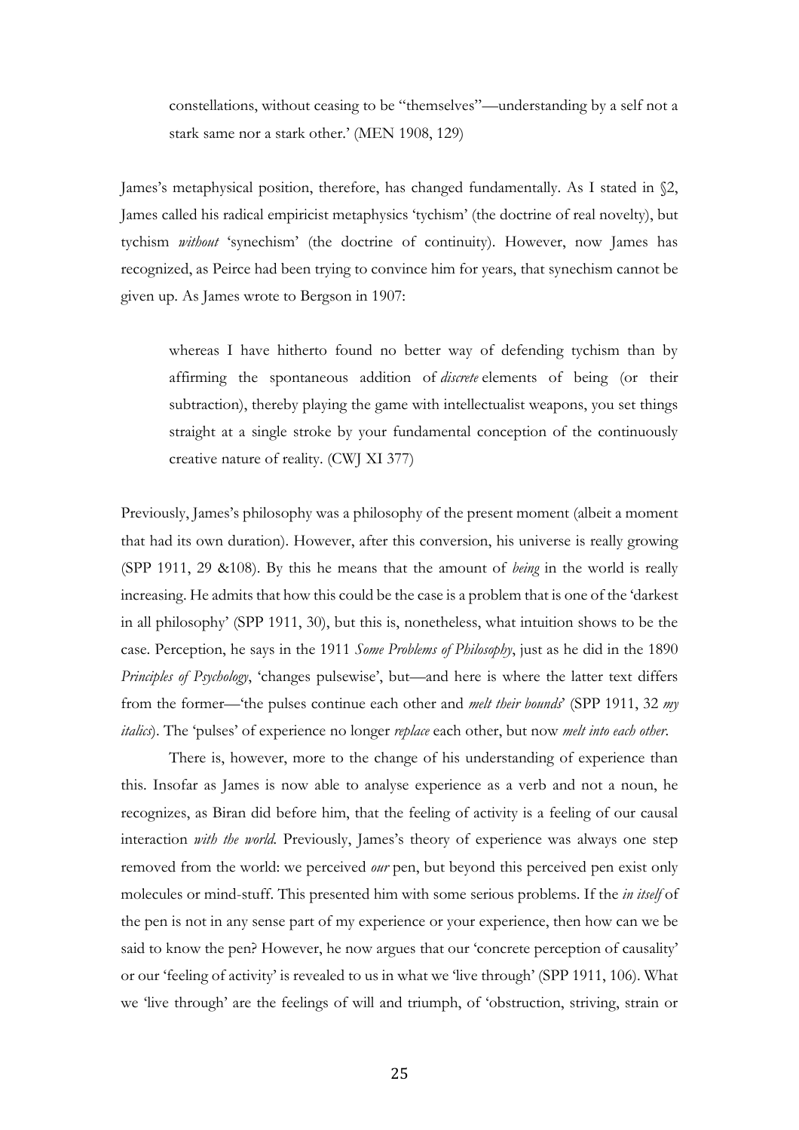constellations, without ceasing to be "themselves"—understanding by a self not a stark same nor a stark other.' (MEN 1908, 129)

James's metaphysical position, therefore, has changed fundamentally. As I stated in §2, James called his radical empiricist metaphysics 'tychism' (the doctrine of real novelty), but tychism *without* 'synechism' (the doctrine of continuity). However, now James has recognized, as Peirce had been trying to convince him for years, that synechism cannot be given up. As James wrote to Bergson in 1907:

whereas I have hitherto found no better way of defending tychism than by affirming the spontaneous addition of *discrete* elements of being (or their subtraction), thereby playing the game with intellectualist weapons, you set things straight at a single stroke by your fundamental conception of the continuously creative nature of reality. (CWJ XI 377)

Previously, James's philosophy was a philosophy of the present moment (albeit a moment that had its own duration). However, after this conversion, his universe is really growing (SPP 1911, 29 &108). By this he means that the amount of *being* in the world is really increasing. He admits that how this could be the case is a problem that is one of the 'darkest in all philosophy' (SPP 1911, 30), but this is, nonetheless, what intuition shows to be the case. Perception, he says in the 1911 *Some Problems of Philosophy*, just as he did in the 1890 *Principles of Psychology*, 'changes pulsewise', but—and here is where the latter text differs from the former—'the pulses continue each other and *melt their bounds*' (SPP 1911, 32 *my italics*). The 'pulses' of experience no longer *replace* each other, but now *melt into each other*.

There is, however, more to the change of his understanding of experience than this. Insofar as James is now able to analyse experience as a verb and not a noun, he recognizes, as Biran did before him, that the feeling of activity is a feeling of our causal interaction *with the world.* Previously, James's theory of experience was always one step removed from the world: we perceived *our* pen, but beyond this perceived pen exist only molecules or mind-stuff. This presented him with some serious problems. If the *in itself* of the pen is not in any sense part of my experience or your experience, then how can we be said to know the pen? However, he now argues that our 'concrete perception of causality' or our 'feeling of activity' is revealed to us in what we 'live through' (SPP 1911, 106). What we 'live through' are the feelings of will and triumph, of 'obstruction, striving, strain or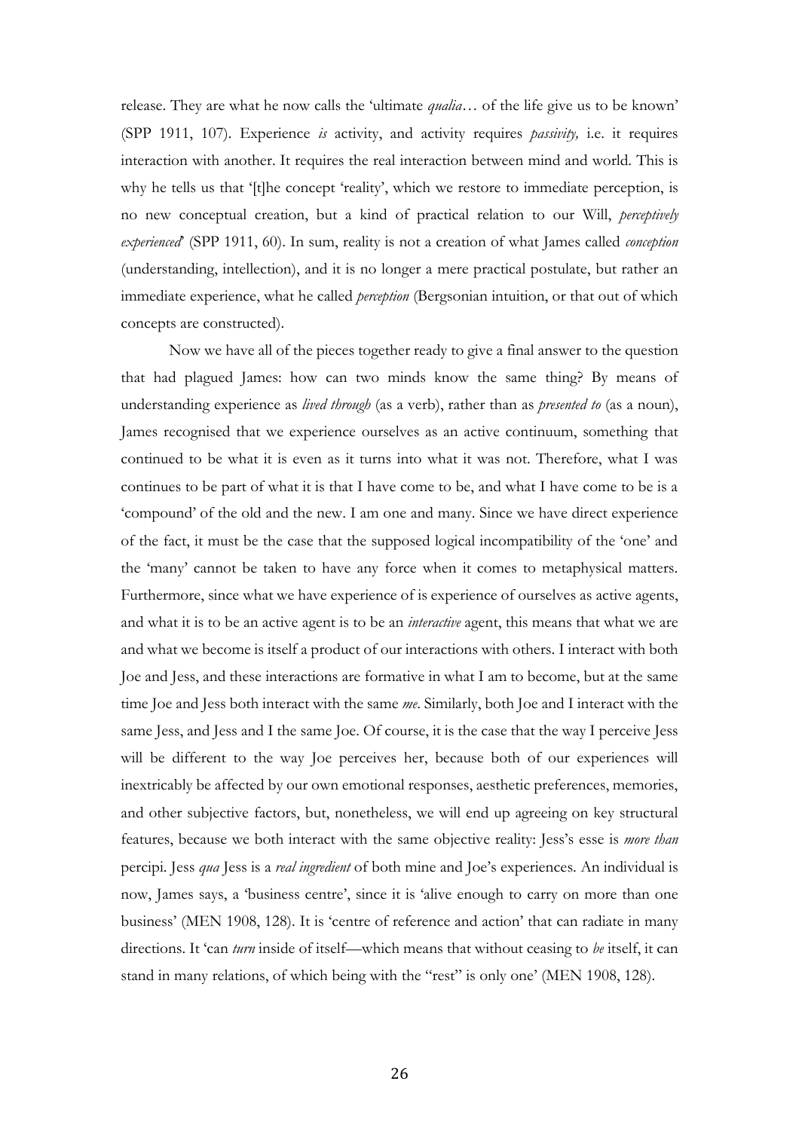release. They are what he now calls the 'ultimate *qualia*… of the life give us to be known' (SPP 1911, 107). Experience *is* activity, and activity requires *passivity,* i.e. it requires interaction with another. It requires the real interaction between mind and world. This is why he tells us that '[t]he concept 'reality', which we restore to immediate perception, is no new conceptual creation, but a kind of practical relation to our Will, *perceptively experienced*' (SPP 1911, 60). In sum, reality is not a creation of what James called *conception* (understanding, intellection), and it is no longer a mere practical postulate, but rather an immediate experience, what he called *perception* (Bergsonian intuition, or that out of which concepts are constructed).

Now we have all of the pieces together ready to give a final answer to the question that had plagued James: how can two minds know the same thing? By means of understanding experience as *lived through* (as a verb), rather than as *presented to* (as a noun), James recognised that we experience ourselves as an active continuum, something that continued to be what it is even as it turns into what it was not. Therefore, what I was continues to be part of what it is that I have come to be, and what I have come to be is a 'compound' of the old and the new. I am one and many. Since we have direct experience of the fact, it must be the case that the supposed logical incompatibility of the 'one' and the 'many' cannot be taken to have any force when it comes to metaphysical matters. Furthermore, since what we have experience of is experience of ourselves as active agents, and what it is to be an active agent is to be an *interactive* agent, this means that what we are and what we become is itself a product of our interactions with others. I interact with both Joe and Jess, and these interactions are formative in what I am to become, but at the same time Joe and Jess both interact with the same *me*. Similarly, both Joe and I interact with the same Jess, and Jess and I the same Joe. Of course, it is the case that the way I perceive Jess will be different to the way Joe perceives her, because both of our experiences will inextricably be affected by our own emotional responses, aesthetic preferences, memories, and other subjective factors, but, nonetheless, we will end up agreeing on key structural features, because we both interact with the same objective reality: Jess's esse is *more than*  percipi. Jess *qua* Jess is a *real ingredient* of both mine and Joe's experiences. An individual is now, James says, a 'business centre', since it is 'alive enough to carry on more than one business' (MEN 1908, 128). It is 'centre of reference and action' that can radiate in many directions. It 'can *turn* inside of itself—which means that without ceasing to *be* itself, it can stand in many relations, of which being with the "rest" is only one' (MEN 1908, 128).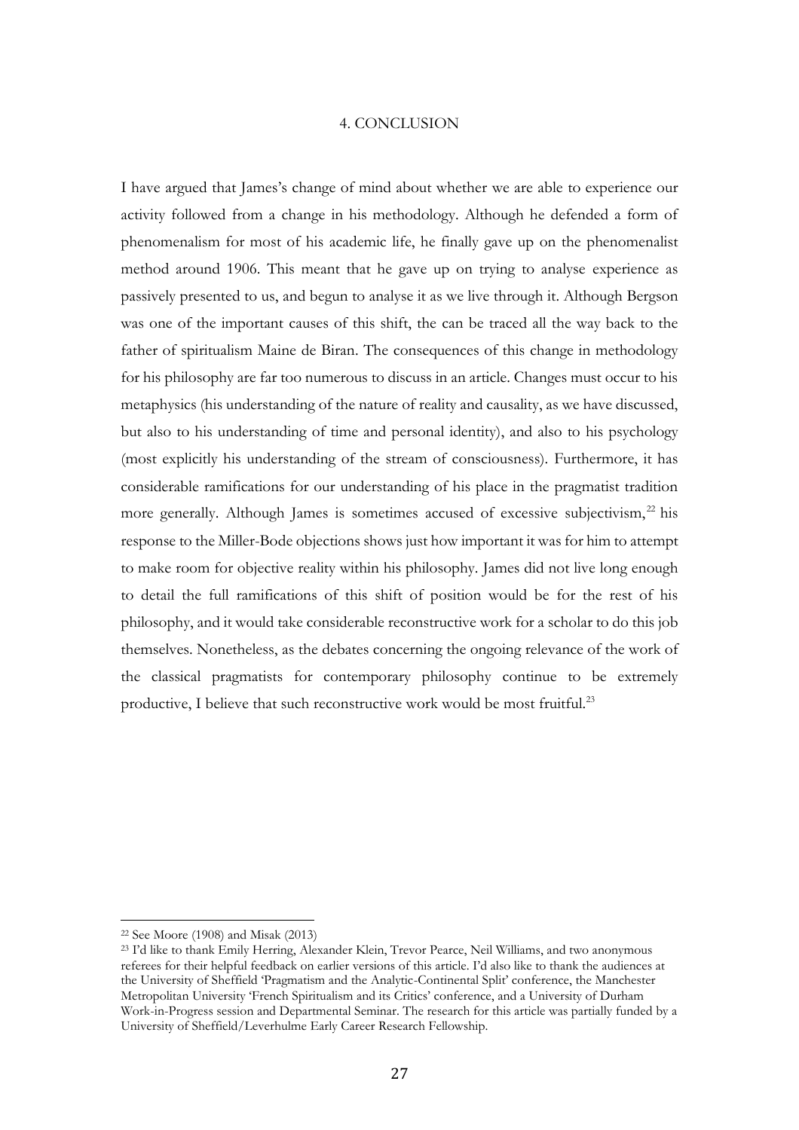## 4. CONCLUSION

I have argued that James's change of mind about whether we are able to experience our activity followed from a change in his methodology. Although he defended a form of phenomenalism for most of his academic life, he finally gave up on the phenomenalist method around 1906. This meant that he gave up on trying to analyse experience as passively presented to us, and begun to analyse it as we live through it. Although Bergson was one of the important causes of this shift, the can be traced all the way back to the father of spiritualism Maine de Biran. The consequences of this change in methodology for his philosophy are far too numerous to discuss in an article. Changes must occur to his metaphysics (his understanding of the nature of reality and causality, as we have discussed, but also to his understanding of time and personal identity), and also to his psychology (most explicitly his understanding of the stream of consciousness). Furthermore, it has considerable ramifications for our understanding of his place in the pragmatist tradition more generally. Although James is sometimes accused of excessive subjectivism,<sup>22</sup> his response to the Miller-Bode objections shows just how important it was for him to attempt to make room for objective reality within his philosophy. James did not live long enough to detail the full ramifications of this shift of position would be for the rest of his philosophy, and it would take considerable reconstructive work for a scholar to do this job themselves. Nonetheless, as the debates concerning the ongoing relevance of the work of the classical pragmatists for contemporary philosophy continue to be extremely productive, I believe that such reconstructive work would be most fruitful. $^{23}$ 

<sup>22</sup> See Moore (1908) and Misak (2013)

<sup>&</sup>lt;sup>23</sup> I'd like to thank Emily Herring, Alexander Klein, Trevor Pearce, Neil Williams, and two anonymous referees for their helpful feedback on earlier versions of this article. I'd also like to thank the audiences at the University of Sheffield 'Pragmatism and the Analytic-Continental Split' conference, the Manchester Metropolitan University 'French Spiritualism and its Critics' conference, and a University of Durham Work-in-Progress session and Departmental Seminar. The research for this article was partially funded by a University of Sheffield/Leverhulme Early Career Research Fellowship.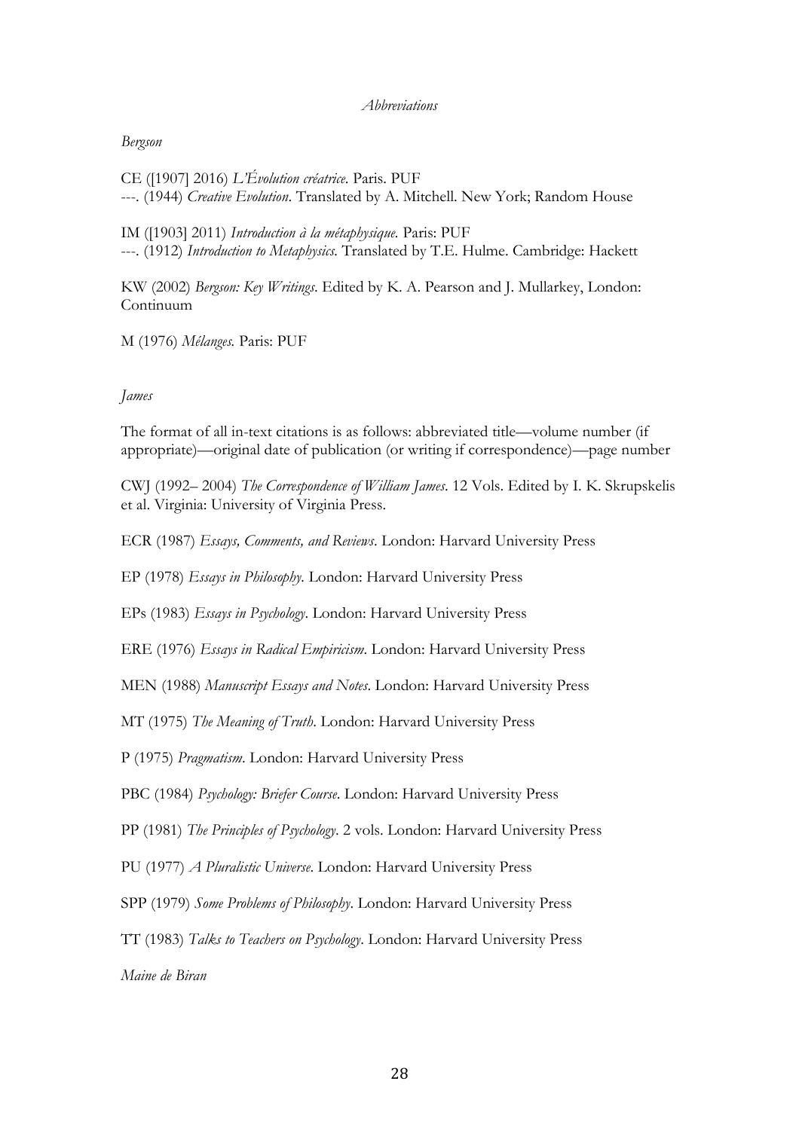#### *Abbreviations*

#### *Bergson*

CE ([1907] 2016) *L'Évolution créatrice*. Paris. PUF ---. (1944) *Creative Evolution*. Translated by A. Mitchell. New York; Random House

IM ([1903] 2011) *Introduction à la métaphysique.* Paris: PUF ---. (1912) *Introduction to Metaphysics.* Translated by T.E. Hulme. Cambridge: Hackett

KW (2002) *Bergson: Key Writings*. Edited by K. A. Pearson and J. Mullarkey, London: Continuum

M (1976) *Mélanges.* Paris: PUF

## *James*

The format of all in-text citations is as follows: abbreviated title—volume number (if appropriate)—original date of publication (or writing if correspondence)—page number

CWJ (1992– 2004) *The Correspondence of William James*. 12 Vols. Edited by I. K. Skrupskelis et al. Virginia: University of Virginia Press.

ECR (1987) *Essays, Comments, and Reviews*. London: Harvard University Press

EP (1978) *Essays in Philosophy.* London: Harvard University Press

EPs (1983) *Essays in Psychology*. London: Harvard University Press

ERE (1976) *Essays in Radical Empiricism*. London: Harvard University Press

MEN (1988) *Manuscript Essays and Notes*. London: Harvard University Press

MT (1975) *The Meaning of Truth*. London: Harvard University Press

P (1975) *Pragmatism*. London: Harvard University Press

PBC (1984) *Psychology: Briefer Course*. London: Harvard University Press

PP (1981) *The Principles of Psychology*. 2 vols. London: Harvard University Press

PU (1977) *A Pluralistic Universe*. London: Harvard University Press

SPP (1979) *Some Problems of Philosophy*. London: Harvard University Press

TT (1983) *Talks to Teachers on Psychology*. London: Harvard University Press

*Maine de Biran*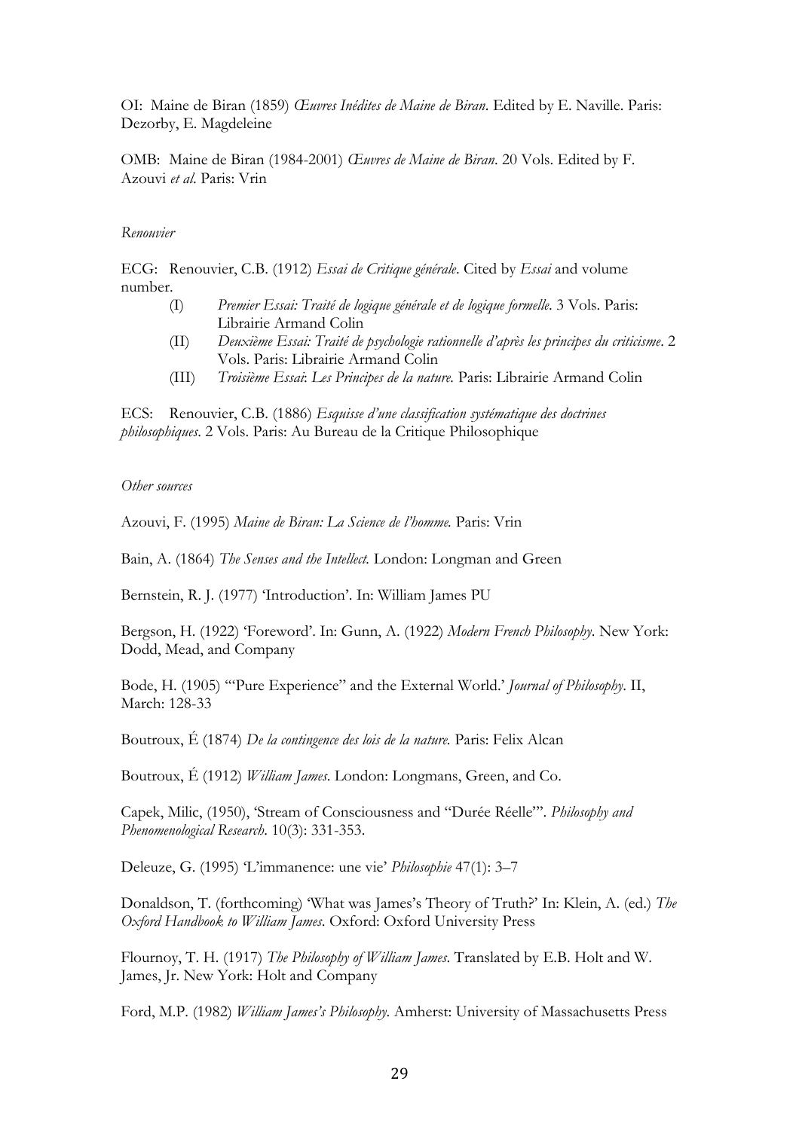OI: Maine de Biran (1859) *Œuvres Inédites de Maine de Biran*. Edited by E. Naville. Paris: Dezorby, E. Magdeleine

OMB: Maine de Biran (1984-2001) *Œuvres de Maine de Biran*. 20 Vols. Edited by F. Azouvi *et al*. Paris: Vrin

#### *Renouvier*

ECG: Renouvier, C.B. (1912) *Essai de Critique générale*. Cited by *Essai* and volume number.

- (I) *Premier Essai: Traité de logique générale et de logique formelle*. 3 Vols. Paris: Librairie Armand Colin
- (II) *Deuxième Essai: Traité de psychologie rationnelle d'après les principes du criticisme*. 2 Vols. Paris: Librairie Armand Colin
- (III) *Troisième Essai*: *Les Principes de la nature.* Paris: Librairie Armand Colin

ECS: Renouvier, C.B. (1886) *Esquisse d'une classification systématique des doctrines philosophiques*. 2 Vols. Paris: Au Bureau de la Critique Philosophique

#### *Other sources*

Azouvi, F. (1995) *Maine de Biran: La Science de l'homme.* Paris: Vrin

Bain, A. (1864) *The Senses and the Intellect.* London: Longman and Green

Bernstein, R. J. (1977) 'Introduction'. In: William James PU

Bergson, H. (1922) 'Foreword'. In: Gunn, A. (1922) *Modern French Philosophy*. New York: Dodd, Mead, and Company

Bode, H. (1905) '"Pure Experience" and the External World.' *Journal of Philosophy*. II, March: 128-33

Boutroux, É (1874) *De la contingence des lois de la nature.* Paris: Felix Alcan

Boutroux, É (1912) *William James*. London: Longmans, Green, and Co.

Capek, Milic, (1950), 'Stream of Consciousness and "Durée Réelle"'. *Philosophy and Phenomenological Research*. 10(3): 331-353.

Deleuze, G. (1995) 'L'immanence: une vie' *Philosophie* 47(1): 3–7

Donaldson, T. (forthcoming) 'What was James's Theory of Truth?' In: Klein, A. (ed.) *The Oxford Handbook to William James*. Oxford: Oxford University Press

Flournoy, T. H. (1917) *The Philosophy of William James*. Translated by E.B. Holt and W. James, Jr. New York: Holt and Company

Ford, M.P. (1982) *William James's Philosophy*. Amherst: University of Massachusetts Press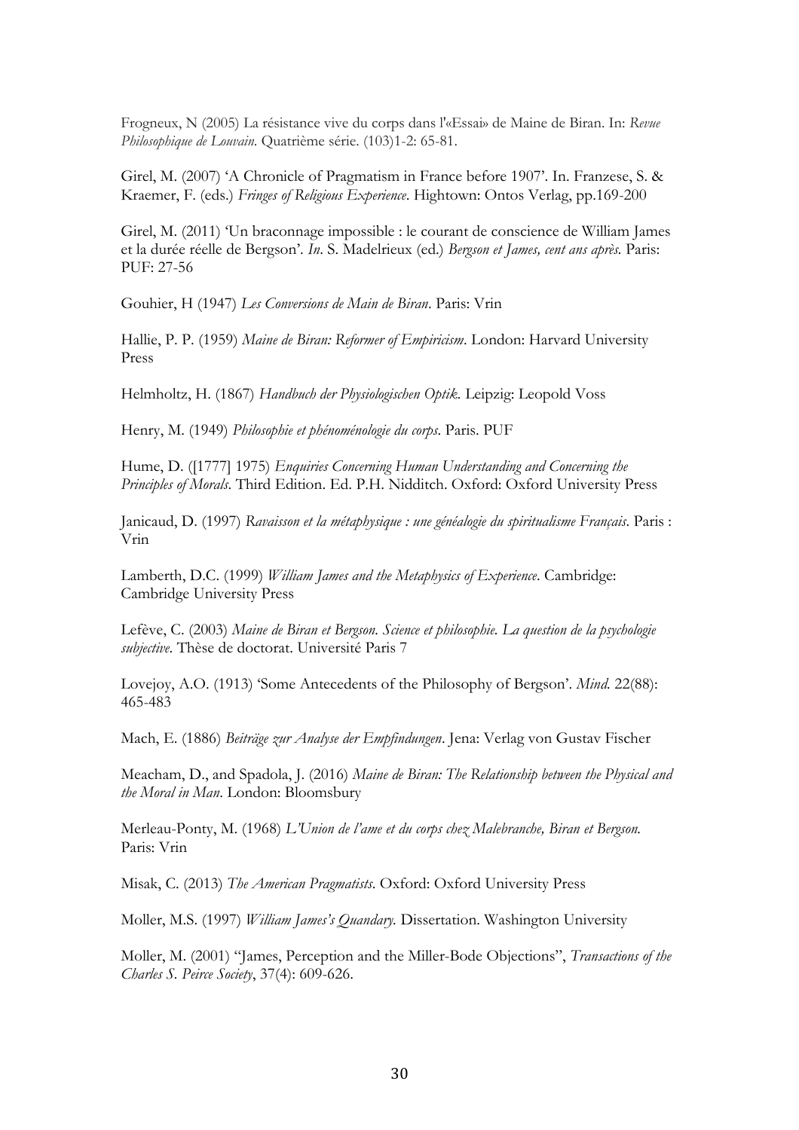Frogneux, N (2005) La résistance vive du corps dans l'«Essai» de Maine de Biran. In: *Revue Philosophique de Louvain*. Quatrième série. (103)1-2: 65-81.

Girel, M. (2007) 'A Chronicle of Pragmatism in France before 1907'. In. Franzese, S. & Kraemer, F. (eds.) *Fringes of Religious Experience*. Hightown: Ontos Verlag, pp.169-200

Girel, M. (2011) 'Un braconnage impossible : le courant de conscience de William James et la durée réelle de Bergson'. *In*. S. Madelrieux (ed.) *Bergson et James, cent ans après.* Paris: PUF: 27-56

Gouhier, H (1947) *Les Conversions de Main de Biran*. Paris: Vrin

Hallie, P. P. (1959) *Maine de Biran: Reformer of Empiricism*. London: Harvard University Press

Helmholtz, H. (1867) *Handbuch der Physiologischen Optik.* Leipzig: Leopold Voss

Henry, M. (1949) *Philosophie et phénoménologie du corps*. Paris. PUF

Hume, D. ([1777] 1975) *Enquiries Concerning Human Understanding and Concerning the Principles of Morals*. Third Edition. Ed. P.H. Nidditch. Oxford: Oxford University Press

Janicaud, D. (1997) *Ravaisson et la métaphysique : une généalogie du spiritualisme Français*. Paris : Vrin

Lamberth, D.C. (1999) *William James and the Metaphysics of Experience*. Cambridge: Cambridge University Press

Lefève, C. (2003) *Maine de Biran et Bergson. Science et philosophie. La question de la psychologie subjective*. Thèse de doctorat. Université Paris 7

Lovejoy, A.O. (1913) 'Some Antecedents of the Philosophy of Bergson'. *Mind.* 22(88): 465-483

Mach, E. (1886) *Beiträge zur Analyse der Empfindungen*. Jena: Verlag von Gustav Fischer

Meacham, D., and Spadola, J. (2016) *Maine de Biran: The Relationship between the Physical and the Moral in Man*. London: Bloomsbury

Merleau-Ponty, M. (1968) *L'Union de l'ame et du corps chez Malebranche, Biran et Bergson.*  Paris: Vrin

Misak, C. (2013) *The American Pragmatists*. Oxford: Oxford University Press

Moller, M.S. (1997) *William James's Quandary.* Dissertation. Washington University

Moller, M. (2001) "James, Perception and the Miller-Bode Objections", *Transactions of the Charles S. Peirce Society*, 37(4): 609-626.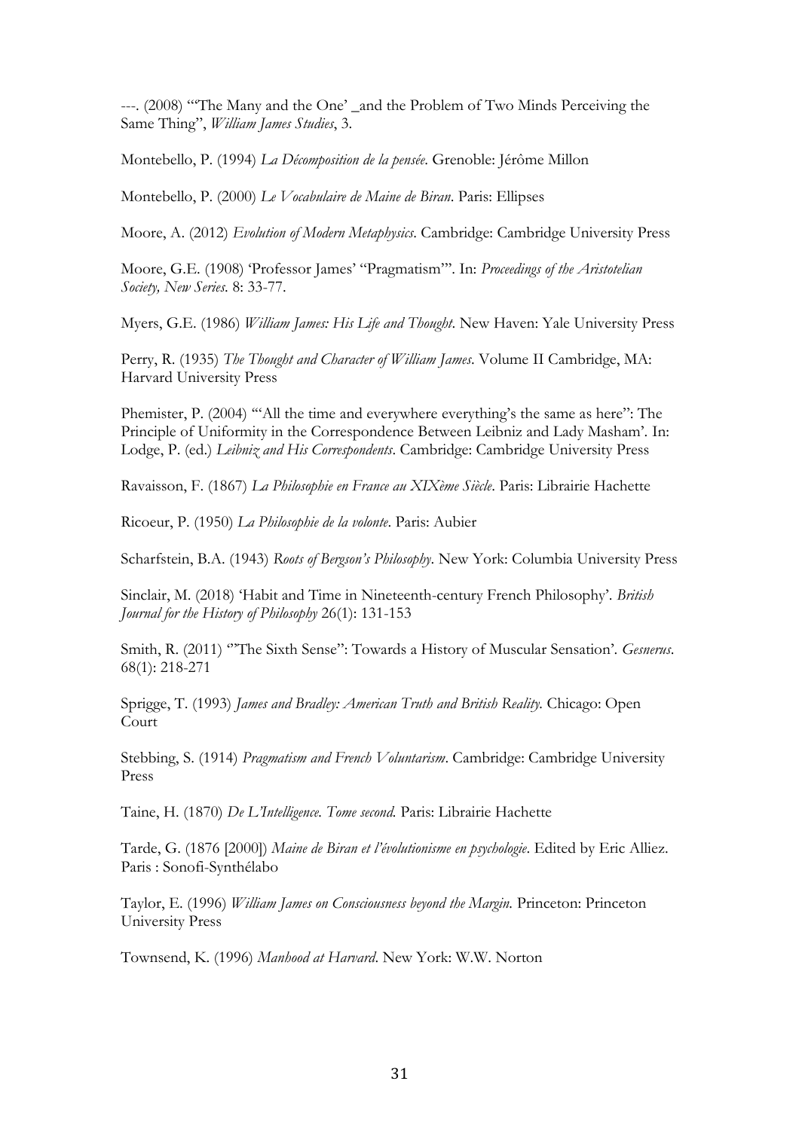---. (2008) "'The Many and the One' \_and the Problem of Two Minds Perceiving the Same Thing", *William James Studies*, 3.

Montebello, P. (1994) *La Décomposition de la pensée*. Grenoble: Jérôme Millon

Montebello, P. (2000) *Le Vocabulaire de Maine de Biran*. Paris: Ellipses

Moore, A. (2012) *Evolution of Modern Metaphysics*. Cambridge: Cambridge University Press

Moore, G.E. (1908) 'Professor James' "Pragmatism"'. In: *Proceedings of the Aristotelian Society, New Series*. 8: 33-77.

Myers, G.E. (1986) *William James: His Life and Thought*. New Haven: Yale University Press

Perry, R. (1935) *The Thought and Character of William James*. Volume II Cambridge, MA: Harvard University Press

Phemister, P. (2004) '"All the time and everywhere everything's the same as here": The Principle of Uniformity in the Correspondence Between Leibniz and Lady Masham'. In: Lodge, P. (ed.) *Leibniz and His Correspondents*. Cambridge: Cambridge University Press

Ravaisson, F. (1867) *La Philosophie en France au XIXème Siècle*. Paris: Librairie Hachette

Ricoeur, P. (1950) *La Philosophie de la volonte*. Paris: Aubier

Scharfstein, B.A. (1943) *Roots of Bergson's Philosophy*. New York: Columbia University Press

Sinclair, M. (2018) 'Habit and Time in Nineteenth-century French Philosophy'. *British Journal for the History of Philosophy* 26(1): 131-153

Smith, R. (2011) '"The Sixth Sense": Towards a History of Muscular Sensation'. *Gesnerus*. 68(1): 218-271

Sprigge, T. (1993) *James and Bradley: American Truth and British Reality.* Chicago: Open Court

Stebbing, S. (1914) *Pragmatism and French Voluntarism*. Cambridge: Cambridge University Press

Taine, H. (1870) *De L'Intelligence. Tome second.* Paris: Librairie Hachette

Tarde, G. (1876 [2000]) *Maine de Biran et l'évolutionisme en psychologie*. Edited by Eric Alliez. Paris : Sonofi-Synthélabo

Taylor, E. (1996) *William James on Consciousness beyond the Margin.* Princeton: Princeton University Press

Townsend, K. (1996) *Manhood at Harvard*. New York: W.W. Norton